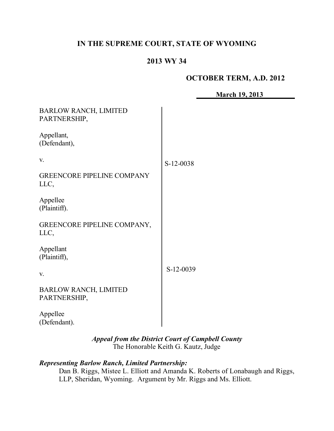# **IN THE SUPREME COURT, STATE OF WYOMING**

# **2013 WY 34**

#### **OCTOBER TERM, A.D. 2012**

| <b>March 19, 2013</b> |  |
|-----------------------|--|
|                       |  |

| <b>BARLOW RANCH, LIMITED</b><br>PARTNERSHIP, |           |
|----------------------------------------------|-----------|
| Appellant,<br>(Defendant),                   |           |
| V.                                           | S-12-0038 |
| <b>GREENCORE PIPELINE COMPANY</b><br>LLC,    |           |
| Appellee<br>(Plaintiff).                     |           |
| GREENCORE PIPELINE COMPANY,<br>LLC,          |           |
| Appellant<br>(Plaintiff),                    |           |
| V.                                           | S-12-0039 |
| <b>BARLOW RANCH, LIMITED</b><br>PARTNERSHIP, |           |
| Appellee<br>(Defendant).                     |           |

*Appeal from the District Court of Campbell County* The Honorable Keith G. Kautz, Judge

# *Representing Barlow Ranch, Limited Partnership:*

Dan B. Riggs, Mistee L. Elliott and Amanda K. Roberts of Lonabaugh and Riggs, LLP, Sheridan, Wyoming. Argument by Mr. Riggs and Ms. Elliott.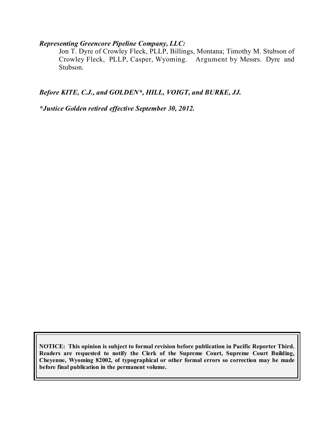## *Representing Greencore Pipeline Company, LLC:*

Jon T. Dyre of Crowley Fleck, PLLP, Billings, Montana; Timothy M. Stubson of Crowley Fleck, PLLP, Casper, Wyoming. Argument by Messrs. Dyre and Crowley Fleck, PLLP, Casper, Wyoming. Stubson.

*Before KITE, C.J., and GOLDEN\*, HILL, VOIGT, and BURKE, JJ.*

*\*Justice Golden retired effective September 30, 2012.*

**NOTICE: This opinion is subject to formal revision before publication in Pacific Reporter Third. Readers are requested to notify the Clerk of the Supreme Court, Supreme Court Building, Cheyenne, Wyoming 82002, of typographical or other formal errors so correction may be made before final publication in the permanent volume.**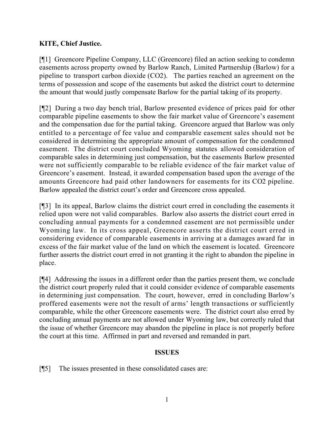# **KITE, Chief Justice.**

[¶1] Greencore Pipeline Company, LLC (Greencore) filed an action seeking to condemn easements across property owned by Barlow Ranch, Limited Partnership (Barlow) for a pipeline to transport carbon dioxide (CO2). The parties reached an agreement on the terms of possession and scope of the easements but asked the district court to determine the amount that would justly compensate Barlow for the partial taking of its property.

[¶2] During a two day bench trial, Barlow presented evidence of prices paid for other comparable pipeline easements to show the fair market value of Greencore's easement and the compensation due for the partial taking. Greencore argued that Barlow was only entitled to a percentage of fee value and comparable easement sales should not be considered in determining the appropriate amount of compensation for the condemned easement. The district court concluded Wyoming statutes allowed consideration of comparable sales in determining just compensation, but the easements Barlow presented were not sufficiently comparable to be reliable evidence of the fair market value of Greencore's easement. Instead, it awarded compensation based upon the average of the amounts Greencore had paid other landowners for easements for its CO2 pipeline. Barlow appealed the district court's order and Greencore cross appealed.

[¶3] In its appeal, Barlow claims the district court erred in concluding the easements it relied upon were not valid comparables. Barlow also asserts the district court erred in concluding annual payments for a condemned easement are not permissible under Wyoming law. In its cross appeal, Greencore asserts the district court erred in considering evidence of comparable easements in arriving at a damages award far in excess of the fair market value of the land on which the easement is located. Greencore further asserts the district court erred in not granting it the right to abandon the pipeline in place.

[¶4] Addressing the issues in a different order than the parties present them, we conclude the district court properly ruled that it could consider evidence of comparable easements in determining just compensation. The court, however, erred in concluding Barlow's proffered easements were not the result of arms' length transactions or sufficiently comparable, while the other Greencore easements were. The district court also erred by concluding annual payments are not allowed under Wyoming law, but correctly ruled that the issue of whether Greencore may abandon the pipeline in place is not properly before the court at this time. Affirmed in part and reversed and remanded in part.

# **ISSUES**

[¶5] The issues presented in these consolidated cases are: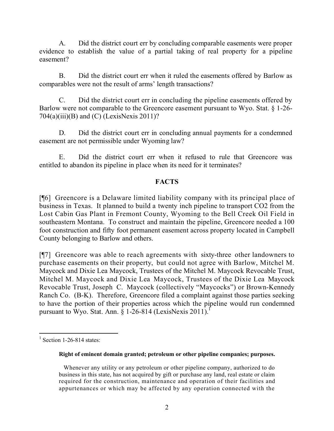A. Did the district court err by concluding comparable easements were proper evidence to establish the value of a partial taking of real property for a pipeline easement?

B. Did the district court err when it ruled the easements offered by Barlow as comparables were not the result of arms' length transactions?

C. Did the district court err in concluding the pipeline easements offered by Barlow were not comparable to the Greencore easement pursuant to Wyo. Stat. § 1-26-  $704(a)(iii)(B)$  and  $(C)$  (LexisNexis 2011)?

D. Did the district court err in concluding annual payments for a condemned easement are not permissible under Wyoming law?

E. Did the district court err when it refused to rule that Greencore was entitled to abandon its pipeline in place when its need for it terminates?

# **FACTS**

[¶6] Greencore is a Delaware limited liability company with its principal place of business in Texas. It planned to build a twenty inch pipeline to transport CO2 from the Lost Cabin Gas Plant in Fremont County, Wyoming to the Bell Creek Oil Field in southeastern Montana. To construct and maintain the pipeline, Greencore needed a 100 foot construction and fifty foot permanent easement across property located in Campbell County belonging to Barlow and others.

[¶7] Greencore was able to reach agreements with sixty-three other landowners to purchase easements on their property, but could not agree with Barlow, Mitchel M. Maycock and Dixie Lea Maycock, Trustees of the Mitchel M. Maycock Revocable Trust, Mitchel M. Maycock and Dixie Lea Maycock, Trustees of the Dixie Lea Maycock Revocable Trust, Joseph C. Maycock (collectively "Maycocks") or Brown-Kennedy Ranch Co. (B-K). Therefore, Greencore filed a complaint against those parties seeking to have the portion of their properties across which the pipeline would run condemned pursuant to Wyo. Stat. Ann.  $\hat{\S}$  1-26-814 (LexisNexis 2011).<sup>1</sup>

 $\overline{a}$ 

#### **Right of eminent domain granted; petroleum or other pipeline companies; purposes.**

 Whenever any utility or any petroleum or other pipeline company, authorized to do business in this state, has not acquired by gift or purchase any land, real estate or claim required for the construction, maintenance and operation of their facilities and appurtenances or which may be affected by any operation connected with the

 $1$  Section 1-26-814 states: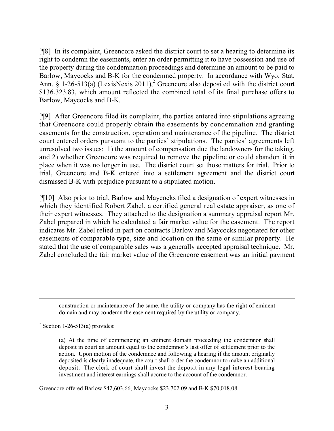[¶8] In its complaint, Greencore asked the district court to set a hearing to determine its right to condemn the easements, enter an order permitting it to have possession and use of the property during the condemnation proceedings and determine an amount to be paid to Barlow, Maycocks and B-K for the condemned property. In accordance with Wyo. Stat. Ann.  $\S$  1-26-513(a) (LexisNexis 2011),<sup>2</sup> Greencore also deposited with the district court \$136,323.83, which amount reflected the combined total of its final purchase offers to Barlow, Maycocks and B-K.

[¶9] After Greencore filed its complaint, the parties entered into stipulations agreeing that Greencore could properly obtain the easements by condemnation and granting easements for the construction, operation and maintenance of the pipeline. The district court entered orders pursuant to the parties' stipulations. The parties' agreements left unresolved two issues: 1) the amount of compensation due the landowners for the taking, and 2) whether Greencore was required to remove the pipeline or could abandon it in place when it was no longer in use. The district court set those matters for trial. Prior to trial, Greencore and B-K entered into a settlement agreement and the district court dismissed B-K with prejudice pursuant to a stipulated motion.

[¶10] Also prior to trial, Barlow and Maycocks filed a designation of expert witnesses in which they identified Robert Zabel, a certified general real estate appraiser, as one of their expert witnesses. They attached to the designation a summary appraisal report Mr. Zabel prepared in which he calculated a fair market value for the easement. The report indicates Mr. Zabel relied in part on contracts Barlow and Maycocks negotiated for other easements of comparable type, size and location on the same or similar property. He stated that the use of comparable sales was a generally accepted appraisal technique. Mr. Zabel concluded the fair market value of the Greencore easement was an initial payment

construction or maintenance of the same, the utility or company has the right of eminent domain and may condemn the easement required by the utility or company.

 $2$  Section 1-26-513(a) provides:

 $\overline{a}$ 

(a) At the time of commencing an eminent domain proceeding the condemnor shall deposit in court an amount equal to the condemnor's last offer of settlement prior to the action. Upon motion of the condemnee and following a hearing if the amount originally deposited is clearly inadequate, the court shall order the condemnor to make an additional deposit. The clerk of court shall invest the deposit in any legal interest bearing investment and interest earnings shall accrue to the account of the condemnor.

Greencore offered Barlow \$42,603.66, Maycocks \$23,702.09 and B-K \$70,018.08.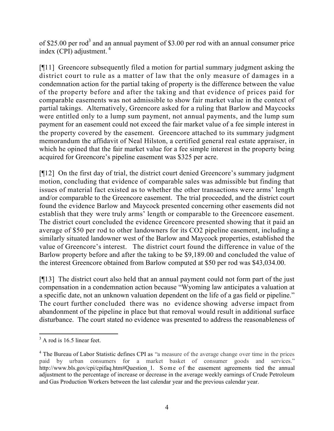of \$25.00 per rod<sup>3</sup> and an annual payment of \$3.00 per rod with an annual consumer price index (CPI) adjustment.<sup>4</sup>

[¶11] Greencore subsequently filed a motion for partial summary judgment asking the district court to rule as a matter of law that the only measure of damages in a condemnation action for the partial taking of property is the difference between the value of the property before and after the taking and that evidence of prices paid for comparable easements was not admissible to show fair market value in the context of partial takings. Alternatively, Greencore asked for a ruling that Barlow and Maycocks were entitled only to a lump sum payment, not annual payments, and the lump sum payment for an easement could not exceed the fair market value of a fee simple interest in the property covered by the easement. Greencore attached to its summary judgment memorandum the affidavit of Neal Hilston, a certified general real estate appraiser, in which he opined that the fair market value for a fee simple interest in the property being acquired for Greencore's pipeline easement was \$325 per acre.

[¶12] On the first day of trial, the district court denied Greencore's summary judgment motion, concluding that evidence of comparable sales was admissible but finding that issues of material fact existed as to whether the other transactions were arms' length and/or comparable to the Greencore easement. The trial proceeded, and the district court found the evidence Barlow and Maycock presented concerning other easements did not establish that they were truly arms' length or comparable to the Greencore easement. The district court concluded the evidence Greencore presented showing that it paid an average of \$50 per rod to other landowners for its CO2 pipeline easement, including a similarly situated landowner west of the Barlow and Maycock properties, established the value of Greencore's interest. The district court found the difference in value of the Barlow property before and after the taking to be \$9,189.00 and concluded the value of the interest Greencore obtained from Barlow computed at \$50 per rod was \$43,034.00.

[¶13] The district court also held that an annual payment could not form part of the just compensation in a condemnation action because "Wyoming law anticipates a valuation at a specific date, not an unknown valuation dependent on the life of a gas field or pipeline." The court further concluded there was no evidence showing adverse impact from abandonment of the pipeline in place but that removal would result in additional surface disturbance. The court stated no evidence was presented to address the reasonableness of

 $\overline{a}$ 

 $3$  A rod is 16.5 linear feet.

<sup>&</sup>lt;sup>4</sup> The Bureau of Labor Statistic defines CPI as "a measure of the average change over time in the prices paid by urban consumers for a market basket of consumer goods and services." http://www.bls.gov/cpi/cpifaq.htm#Question\_1. Some of the easement agreements tied the annual adjustment to the percentage of increase or decrease in the average weekly earnings of Crude Petroleum and Gas Production Workers between the last calendar year and the previous calendar year.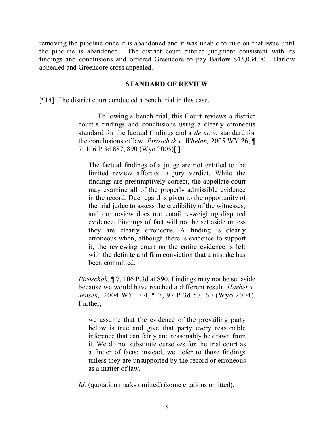removing the pipeline once it is abandoned and it was unable to rule on that issue until the pipeline is abandoned. The district court entered judgment consistent with its findings and conclusions and ordered Greencore to pay Barlow \$43,034.00. Barlow appealed and Greencore cross appealed.

#### **STANDARD OF REVIEW**

[¶14] The district court conducted a bench trial in this case.

Following a bench trial, this Court reviews a district court's findings and conclusions using a clearly erroneous standard for the factual findings and a *de novo* standard for the conclusions of law. *Piroschak v. Whelan,* 2005 WY 26, ¶ 7, 106 P.3d 887, 890 (Wyo.2005)[.]

The factual findings of a judge are not entitled to the limited review afforded a jury verdict. While the findings are presumptively correct, the appellate court may examine all of the properly admissible evidence in the record. Due regard is given to the opportunity of the trial judge to assess the credibility of the witnesses, and our review does not entail re-weighing disputed evidence. Findings of fact will not be set aside unless they are clearly erroneous. A finding is clearly erroneous when, although there is evidence to support it, the reviewing court on the entire evidence is left with the definite and firm conviction that a mistake has been committed.

*Piroschak,* ¶ 7, 106 P.3d at 890. Findings may not be set aside because we would have reached a different result. *Harber v. Jensen,* 2004 WY 104, ¶ 7, 97 P.3d 57, 60 (Wyo.2004). Further,

we assume that the evidence of the prevailing party below is true and give that party every reasonable inference that can fairly and reasonably be drawn from it. We do not substitute ourselves for the trial court as a finder of facts; instead, we defer to those findings unless they are unsupported by the record or erroneous as a matter of law.

*Id.* (quotation marks omitted) (some citations omitted).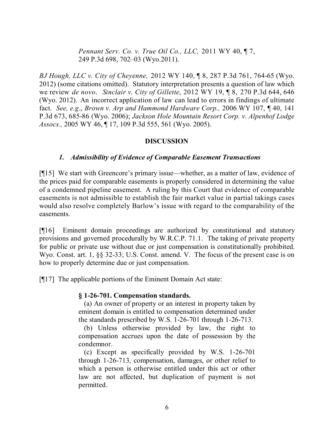*Pennant Serv. Co. v. True Oil Co., LLC,* 2011 WY 40, ¶ 7, 249 P.3d 698, 702–03 (Wyo.2011).

*BJ Hough, LLC v. City of Cheyenne,* 2012 WY 140, ¶ 8, 287 P.3d 761, 764-65 (Wyo. 2012) (some citations omitted). Statutory interpretation presents a question of law which we review *de novo*. *Sinclair v. City of Gillette*, 2012 WY 19, ¶ 8, 270 P.3d 644, 646 (Wyo. 2012). An incorrect application of law can lead to errors in findings of ultimate fact. *See, e.g*., *Brown v. Arp and Hammond Hardware Corp.,* 2006 WY 107, ¶ 40, 141 P.3d 673, 685-86 (Wyo. 2006); *Jackson Hole Mountain Resort Corp. v. Alpenhof Lodge Assocs.,* 2005 WY 46, ¶ 17, 109 P.3d 555, 561 (Wyo. 2005).

## **DISCUSSION**

## *1. Admissibility of Evidence of Comparable Easement Transactions*

[¶15] We start with Greencore's primary issue—whether, as a matter of law, evidence of the prices paid for comparable easements is properly considered in determining the value of a condemned pipeline easement. A ruling by this Court that evidence of comparable easements is not admissible to establish the fair market value in partial takings cases would also resolve completely Barlow's issue with regard to the comparability of the easements.

[¶16] Eminent domain proceedings are authorized by constitutional and statutory provisions and governed procedurally by W.R.C.P. 71.1. The taking of private property for public or private use without due or just compensation is constitutionally prohibited. Wyo. Const. art. 1,  $\S$  32-33; U.S. Const. amend. V. The focus of the present case is on how to properly determine due or just compensation.

[¶17] The applicable portions of the Eminent Domain Act state:

## **§ 1-26-701. Compensation standards.**

(a) An owner of property or an interest in property taken by eminent domain is entitled to compensation determined under the standards prescribed by W.S. 1-26-701 through 1-26-713.

(b) Unless otherwise provided by law, the right to compensation accrues upon the date of possession by the condemnor.

(c) Except as specifically provided by W.S. 1-26-701 through 1-26-713, compensation, damages, or other relief to which a person is otherwise entitled under this act or other law are not affected, but duplication of payment is not permitted.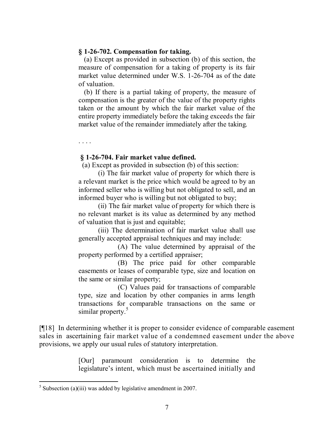#### **§ 1-26-702. Compensation for taking.**

(a) Except as provided in subsection (b) of this section, the measure of compensation for a taking of property is its fair market value determined under W.S. 1-26-704 as of the date of valuation.

(b) If there is a partial taking of property, the measure of compensation is the greater of the value of the property rights taken or the amount by which the fair market value of the entire property immediately before the taking exceeds the fair market value of the remainder immediately after the taking.

**§ 1-26-704. Fair market value defined.**

. . . .

(a) Except as provided in subsection (b) of this section:

(i) The fair market value of property for which there is a relevant market is the price which would be agreed to by an informed seller who is willing but not obligated to sell, and an informed buyer who is willing but not obligated to buy;

(ii) The fair market value of property for which there is no relevant market is its value as determined by any method of valuation that is just and equitable;

(iii) The determination of fair market value shall use generally accepted appraisal techniques and may include:

(A) The value determined by appraisal of the property performed by a certified appraiser;

(B) The price paid for other comparable easements or leases of comparable type, size and location on the same or similar property;

(C) Values paid for transactions of comparable type, size and location by other companies in arms length transactions for comparable transactions on the same or similar property.<sup>5</sup>

[¶18] In determining whether it is proper to consider evidence of comparable easement sales in ascertaining fair market value of a condemned easement under the above provisions, we apply our usual rules of statutory interpretation.

> [Our] paramount consideration is to determine the legislature's intent, which must be ascertained initially and

 $<sup>5</sup>$  Subsection (a)(iii) was added by legislative amendment in 2007.</sup>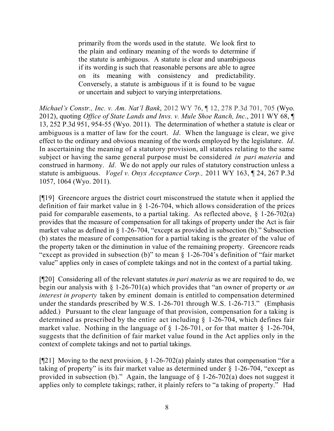primarily from the words used in the statute. We look first to the plain and ordinary meaning of the words to determine if the statute is ambiguous. A statute is clear and unambiguous if its wording is such that reasonable persons are able to agree on its meaning with consistency and predictability. Conversely, a statute is ambiguous if it is found to be vague or uncertain and subject to varying interpretations.

*Michael's Constr., Inc. v. Am. Nat'l Bank*, 2012 WY 76, ¶ 12, 278 P.3d 701, 705 (Wyo. 2012), quoting *Office of State Lands and Invs. v. Mule Shoe Ranch, Inc*., 2011 WY 68, ¶ 13, 252 P.3d 951, 954-55 (Wyo. 2011). The determination of whether a statute is clear or ambiguous is a matter of law for the court. *Id*. When the language is clear, we give effect to the ordinary and obvious meaning of the words employed by the legislature. *Id*. In ascertaining the meaning of a statutory provision, all statutes relating to the same subject or having the same general purpose must be considered *in pari materia* and construed in harmony. *Id*. We do not apply our rules of statutory construction unless a statute is ambiguous. *Vogel v. Onyx Acceptance Corp.,* 2011 WY 163, ¶ 24, 267 P.3d 1057, 1064 (Wyo. 2011).

[¶19] Greencore argues the district court misconstrued the statute when it applied the definition of fair market value in § 1-26-704, which allows consideration of the prices paid for comparable easements, to a partial taking. As reflected above, § 1-26-702(a) provides that the measure of compensation for all takings of property under the Act is fair market value as defined in § 1-26-704, "except as provided in subsection (b)." Subsection (b) states the measure of compensation for a partial taking is the greater of the value of the property taken or the diminution in value of the remaining property. Greencore reads "except as provided in subsection (b)" to mean § 1-26-704's definition of "fair market value" applies only in cases of complete takings and not in the context of a partial taking.

[¶20] Considering all of the relevant statutes *in pari materia* as we are required to do, we begin our analysis with § 1-26-701(a) which provides that "an owner of property or *an interest in property* taken by eminent domain is entitled to compensation determined under the standards prescribed by W.S. 1-26-701 through W.S. 1-26-713." (Emphasis added.) Pursuant to the clear language of that provision, compensation for a taking is determined as prescribed by the entire act including § 1-26-704, which defines fair market value. Nothing in the language of  $\S$  1-26-701, or for that matter  $\S$  1-26-704, suggests that the definition of fair market value found in the Act applies only in the context of complete takings and not to partial takings.

[ $[$ [21] Moving to the next provision,  $\S$  1-26-702(a) plainly states that compensation "for a taking of property" is its fair market value as determined under § 1-26-704, "except as provided in subsection (b)." Again, the language of  $\S$  1-26-702(a) does not suggest it applies only to complete takings; rather, it plainly refers to "a taking of property." Had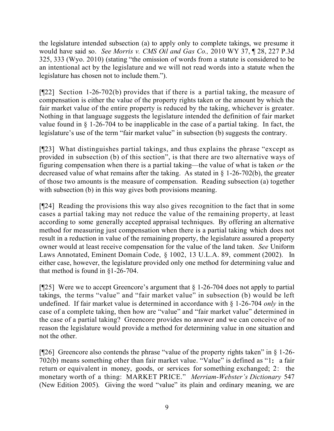the legislature intended subsection (a) to apply only to complete takings, we presume it would have said so. *See Morris v. CMS Oil and Gas Co.,* 2010 WY 37, ¶ 28, 227 P.3d 325, 333 (Wyo. 2010) (stating "the omission of words from a statute is considered to be an intentional act by the legislature and we will not read words into a statute when the legislature has chosen not to include them.").

[¶22] Section 1-26-702(b) provides that if there is a partial taking, the measure of compensation is either the value of the property rights taken or the amount by which the fair market value of the entire property is reduced by the taking, whichever is greater. Nothing in that language suggests the legislature intended the definition of fair market value found in § 1-26-704 to be inapplicable in the case of a partial taking. In fact, the legislature's use of the term "fair market value" in subsection (b) suggests the contrary.

[¶23] What distinguishes partial takings, and thus explains the phrase "except as provided in subsection (b) of this section", is that there are two alternative ways of figuring compensation when there is a partial taking—the value of what is taken *or* the decreased value of what remains after the taking. As stated in  $\S$  1-26-702(b), the greater of those two amounts is the measure of compensation. Reading subsection (a) together with subsection (b) in this way gives both provisions meaning.

[¶24] Reading the provisions this way also gives recognition to the fact that in some cases a partial taking may not reduce the value of the remaining property, at least according to some generally accepted appraisal techniques. By offering an alternative method for measuring just compensation when there is a partial taking which does not result in a reduction in value of the remaining property, the legislature assured a property owner would at least receive compensation for the value of the land taken. *See* Uniform Laws Annotated, Eminent Domain Code, § 1002, 13 U.L.A. 89, comment (2002). In either case, however, the legislature provided only one method for determining value and that method is found in §1-26-704.

[ $[$ 25] Were we to accept Greencore's argument that  $\S$  1-26-704 does not apply to partial takings, the terms "value" and "fair market value" in subsection (b) would be left undefined. If fair market value is determined in accordance with § 1-26-704 *only* in the case of a complete taking, then how are "value" and "fair market value" determined in the case of a partial taking? Greencore provides no answer and we can conceive of no reason the legislature would provide a method for determining value in one situation and not the other.

[ $[$ 26] Greencore also contends the phrase "value of the property rights taken" in  $\S$  1-26-702(b) means something other than fair market value. "Value" is defined as "1**:** a fair return or equivalent in money, goods, or services for something exchanged; 2: the monetary worth of a thing: MARKET PRICE." *Merriam-Webster's Dictionary* 547 (New Edition 2005). Giving the word "value" its plain and ordinary meaning, we are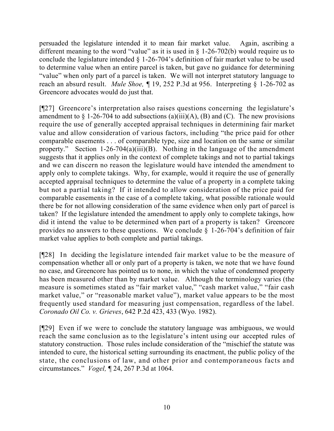persuaded the legislature intended it to mean fair market value. Again, ascribing a different meaning to the word "value" as it is used in  $\S$  1-26-702(b) would require us to conclude the legislature intended § 1-26-704's definition of fair market value to be used to determine value when an entire parcel is taken, but gave no guidance for determining "value" when only part of a parcel is taken. We will not interpret statutory language to reach an absurd result. *Mule Shoe,* ¶ 19, 252 P.3d at 956. Interpreting § 1-26-702 as Greencore advocates would do just that.

[¶27] Greencore's interpretation also raises questions concerning the legislature's amendment to  $\S$  1-26-704 to add subsections (a)(iii)(A), (B) and (C). The new provisions require the use of generally accepted appraisal techniques in determining fair market value and allow consideration of various factors, including "the price paid for other comparable easements . . . of comparable type, size and location on the same or similar property." Section 1-26-704(a)(iii)(B). Nothing in the language of the amendment suggests that it applies only in the context of complete takings and not to partial takings and we can discern no reason the legislature would have intended the amendment to apply only to complete takings. Why, for example, would it require the use of generally accepted appraisal techniques to determine the value of a property in a complete taking but not a partial taking? If it intended to allow consideration of the price paid for comparable easements in the case of a complete taking, what possible rationale would there be for not allowing consideration of the same evidence when only part of parcel is taken? If the legislature intended the amendment to apply only to complete takings, how did it intend the value to be determined when part of a property is taken? Greencore provides no answers to these questions. We conclude § 1-26-704's definition of fair market value applies to both complete and partial takings.

[¶28] In deciding the legislature intended fair market value to be the measure of compensation whether all or only part of a property is taken, we note that we have found no case, and Greencore has pointed us to none, in which the value of condemned property has been measured other than by market value. Although the terminology varies (the measure is sometimes stated as "fair market value," "cash market value," "fair cash market value," or "reasonable market value"), market value appears to be the most frequently used standard for measuring just compensation, regardless of the label. *Coronado Oil Co. v. Grieves*, 642 P.2d 423, 433 (Wyo. 1982).

[¶29] Even if we were to conclude the statutory language was ambiguous, we would reach the same conclusion as to the legislature's intent using our accepted rules of statutory construction. Those rules include consideration of the "mischief the statute was intended to cure, the historical setting surrounding its enactment, the public policy of the state, the conclusions of law, and other prior and contemporaneous facts and circumstances." *Vogel,* ¶ 24, 267 P.3d at 1064.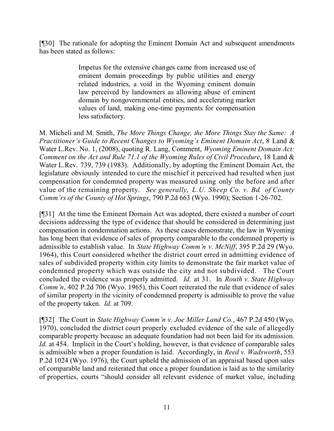[¶30] The rationale for adopting the Eminent Domain Act and subsequent amendments has been stated as follows:

> Impetus for the extensive changes came from increased use of eminent domain proceedings by public utilities and energy related industries, a void in the Wyoming eminent domain law perceived by landowners as allowing abuse of eminent domain by nongovernmental entities, and accelerating market values of land, making one-time payments for compensation less satisfactory.

M. Micheli and M. Smith, *The More Things Change, the More Things Stay the Same: A Practitioner's Guide to Recent Changes to Wyoming's Eminent Domain Act*, 8 Land & Water L.Rev. No. 1, (2008), quoting R. Lang, Comment, *Wyoming Eminent Domain Act: Comment on the Act and Rule 71.1 of the Wyoming Rules of Civil Procedure*, 18 Land & Water L.Rev. 739, 739 (1983). Additionally, by adopting the Eminent Domain Act, the legislature obviously intended to cure the mischief it perceived had resulted when just compensation for condemned property was measured using only the before and after value of the remaining property. *See generally*, *L.U. Sheep Co. v. Bd. of County Comm'rs of the County of Hot Springs*, 790 P.2d 663 (Wyo. 1990); Section 1-26-702.

[¶31] At the time the Eminent Domain Act was adopted, there existed a number of court decisions addressing the type of evidence that should be considered in determining just compensation in condemnation actions. As these cases demonstrate, the law in Wyoming has long been that evidence of sales of property comparable to the condemned property is admissible to establish value. In *State Highway Comm'n v. McNiff*, 395 P.2d 29 (Wyo. 1964), this Court considered whether the district court erred in admitting evidence of sales of subdivided property within city limits to demonstrate the fair market value of condemned property which was outside the city and not subdivided. The Court concluded the evidence was properly admitted. *Id.* at 31. In *Routh v. State Highway Comm'n*, 402 P.2d 706 (Wyo. 1965), this Court reiterated the rule that evidence of sales of similar property in the vicinity of condemned property is admissible to prove the value of the property taken. *Id.* at 709.

[¶32] The Court in *State Highway Comm'n v. Joe Miller Land Co.*, 467 P.2d 450 (Wyo. 1970), concluded the district court properly excluded evidence of the sale of allegedly comparable property because an adequate foundation had not been laid for its admission. *Id.* at 454. Implicit in the Court's holding, however, is that evidence of comparable sales is admissible when a proper foundation is laid. Accordingly, in *Reed v. Wadsworth*, 553 P.2d 1024 (Wyo. 1976), the Court upheld the admission of an appraisal based upon sales of comparable land and reiterated that once a proper foundation is laid as to the similarity of properties, courts "should consider all relevant evidence of market value, including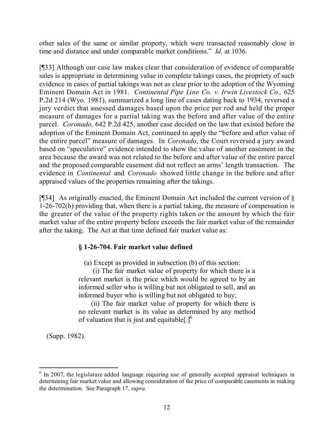other sales of the same or similar property, which were transacted reasonably close in time and distance and under comparable market conditions." *Id.* at 1036.

[¶33] Although our case law makes clear that consideration of evidence of comparable sales is appropriate in determining value in complete takings cases, the propriety of such evidence in cases of partial takings was not as clear prior to the adoption of the Wyoming Eminent Domain Act in 1981. *Continental Pipe Line Co. v. Irwin Livestock Co.,* 625 P.2d 214 (Wyo. 1981), summarized a long line of cases dating back to 1934, reversed a jury verdict that assessed damages based upon the price per rod and held the proper measure of damages for a partial taking was the before and after value of the entire parcel. *Coronado,* 642 P.2d 425, another case decided on the law that existed before the adoption of the Eminent Domain Act, continued to apply the "before and after value of the entire parcel" measure of damages. In *Coronado*, the Court reversed a jury award based on "speculative" evidence intended to show the value of another easement in the area because the award was not related to the before and after value of the entire parcel and the proposed comparable easement did not reflect an arms' length transaction. The evidence in *Continental* and *Coronado* showed little change in the before and after appraised values of the properties remaining after the takings.

[ $[$ ][34] As originally enacted, the Eminent Domain Act included the current version of  $\delta$ 1-26-702(b) providing that, when there is a partial taking, the measure of compensation is the greater of the value of the property rights taken or the amount by which the fair market value of the entire property before exceeds the fair market value of the remainder after the taking. The Act at that time defined fair market value as:

# **§ 1-26-704. Fair market value defined**

(a) Except as provided in subsection (b) of this section:

(i) The fair market value of property for which there is a relevant market is the price which would be agreed to by an informed seller who is willing but not obligated to sell, and an informed buyer who is willing but not obligated to buy;

(ii) The fair market value of property for which there is no relevant market is its value as determined by any method of valuation that is just and equitable  $[.]^{\circ}$ 

(Supp. 1982).

<sup>&</sup>lt;sup>6</sup> In 2007, the legislature added language requiring use of generally accepted appraisal techniques in determining fair market value and allowing consideration of the price of comparable easements in making the determination. See Paragraph 17, *supra.*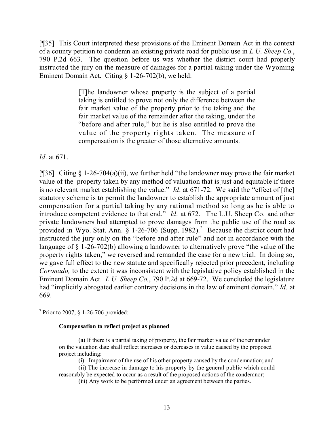[¶35] This Court interpreted these provisions of the Eminent Domain Act in the context of a county petition to condemn an existing private road for public use in *L.U. Sheep Co.*, 790 P.2d 663. The question before us was whether the district court had properly instructed the jury on the measure of damages for a partial taking under the Wyoming Eminent Domain Act. Citing § 1-26-702(b), we held:

> [T]he landowner whose property is the subject of a partial taking is entitled to prove not only the difference between the fair market value of the property prior to the taking and the fair market value of the remainder after the taking, under the "before and after rule," but he is also entitled to prove the value of the property rights taken. The measure of compensation is the greater of those alternative amounts.

*Id*. at 671.

[¶36] Citing § 1-26-704(a)(ii), we further held "the landowner may prove the fair market value of the property taken by any method of valuation that is just and equitable if there is no relevant market establishing the value." *Id*. at 671-72. We said the "effect of [the] statutory scheme is to permit the landowner to establish the appropriate amount of just compensation for a partial taking by any rational method so long as he is able to introduce competent evidence to that end." *Id*. at 672. The L.U. Sheep Co. and other private landowners had attempted to prove damages from the public use of the road as provided in Wyo. Stat. Ann.  $\hat{\S}$  1-26-706 (Supp. 1982).<sup>7</sup> Because the district court had instructed the jury only on the "before and after rule" and not in accordance with the language of § 1-26-702(b) allowing a landowner to alternatively prove "the value of the property rights taken," we reversed and remanded the case for a new trial. In doing so, we gave full effect to the new statute and specifically rejected prior precedent, including *Coronado,* to the extent it was inconsistent with the legislative policy established in the Eminent Domain Act. *L.U. Sheep Co.*, 790 P.2d at 669-72. We concluded the legislature had "implicitly abrogated earlier contrary decisions in the law of eminent domain." *Id.* at 669.

7 Prior to 2007, § 1-26-706 provided:

#### **Compensation to reflect project as planned**

- (a) If there is a partial taking of property, the fair market value of the remainder on the valuation date shall reflect increases or decreases in value caused by the proposed project including:
	- (i) Impairment of the use of his other property caused by the condemnation; and
- (ii) The increase in damage to his property by the general public which could reasonably be expected to occur as a result of the proposed actions of the condemnor;
	- (iii) Any work to be performed under an agreement between the parties.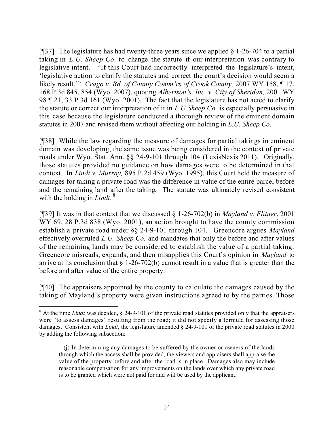[ $[$ ][37] The legislature has had twenty-three years since we applied  $§$  1-26-704 to a partial taking in *L.U. Sheep Co*. to change the statute if our interpretation was contrary to legislative intent. "If this Court had incorrectly interpreted the legislature's intent, 'legislative action to clarify the statutes and correct the court's decision would seem a likely result.'" *Crago v. Bd. of County Comm'rs of Crook County,* 2007 WY 158, ¶ 17, 168 P.3d 845, 854 (Wyo. 2007), quoting *Albertson's, Inc. v. City of Sheridan,* 2001 WY 98 ¶ 21, 33 P.3d 161 (Wyo. 2001). The fact that the legislature has not acted to clarify the statute or correct our interpretation of it in *L.U Sheep Co.* is especially persuasive in this case because the legislature conducted a thorough review of the eminent domain statutes in 2007 and revised them without affecting our holding in *L.U. Sheep Co*.

[¶38] While the law regarding the measure of damages for partial takings in eminent domain was developing, the same issue was being considered in the context of private roads under Wyo. Stat. Ann. §§ 24-9-101 through 104 (LexisNexis 2011). Originally, those statutes provided no guidance on how damages were to be determined in that context. In *Lindt v. Murray,* 895 P.2d 459 (Wyo. 1995), this Court held the measure of damages for taking a private road was the difference in value of the entire parcel before and the remaining land after the taking. The statute was ultimately revised consistent with the holding in *Lindt*. 8

[¶39] It was in that context that we discussed § 1-26-702(b) in *Mayland v. Flitner*, 2001 WY 69, 28 P.3d 838 (Wyo. 2001), an action brought to have the county commission establish a private road under §§ 24-9-101 through 104. Greencore argues *Mayland*  effectively overruled *L.U. Sheep Co.* and mandates that only the before and after values of the remaining lands may be considered to establish the value of a partial taking. Greencore misreads, expands, and then misapplies this Court's opinion in *Mayland* to arrive at its conclusion that  $\S 1-26-702(b)$  cannot result in a value that is greater than the before and after value of the entire property.

[¶40] The appraisers appointed by the county to calculate the damages caused by the taking of Mayland's property were given instructions agreed to by the parties. Those

 $\overline{a}$ <sup>8</sup> At the time *Lindt* was decided, § 24-9-101 of the private road statutes provided only that the appraisers were "to assess damages" resulting from the road; it did not specify a formula for assessing those damages. Consistent with *Lindt*, the legislature amended § 24-9-101 of the private road statutes in 2000 by adding the following subsection:

 <sup>(</sup>j) In determining any damages to be suffered by the owner or owners of the lands through which the access shall be provided, the viewers and appraisers shall appraise the value of the property before and after the road is in place. Damages also may include reasonable compensation for any improvements on the lands over which any private road is to be granted which were not paid for and will be used by the applicant.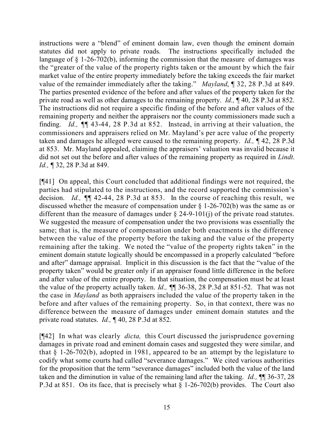instructions were a "blend" of eminent domain law, even though the eminent domain statutes did not apply to private roads. The instructions specifically included the language of § 1-26-702(b), informing the commission that the measure of damages was the "greater of the value of the property rights taken or the amount by which the fair market value of the entire property immediately before the taking exceeds the fair market value of the remainder immediately after the taking." *Mayland*, ¶ 32, 28 P.3d at 849. The parties presented evidence of the before and after values of the property taken for the private road as well as other damages to the remaining property. *Id.,* ¶ 40, 28 P.3d at 852. The instructions did not require a specific finding of the before and after values of the remaining property and neither the appraisers nor the county commissioners made such a finding. *Id.,* ¶¶ 43-44, 28 P.3d at 852. Instead, in arriving at their valuation, the commissioners and appraisers relied on Mr. Mayland's per acre value of the property taken and damages he alleged were caused to the remaining property. *Id.,* ¶ 42, 28 P.3d at 853. Mr. Mayland appealed, claiming the appraisers' valuation was invalid because it did not set out the before and after values of the remaining property as required in *Lindt*. *Id.,* ¶ 32, 28 P.3d at 849.

[¶41] On appeal, this Court concluded that additional findings were not required, the parties had stipulated to the instructions, and the record supported the commission's decision. *Id.,* ¶¶ 42-44, 28 P.3d at 853. In the course of reaching this result, we discussed whether the measure of compensation under § 1-26-702(b) was the same as or different than the measure of damages under  $\S$  24-9-101(j) of the private road statutes. We suggested the measure of compensation under the two provisions was essentially the same; that is, the measure of compensation under both enactments is the difference between the value of the property before the taking and the value of the property remaining after the taking. We noted the "value of the property rights taken" in the eminent domain statute logically should be encompassed in a properly calculated "before and after" damage appraisal. Implicit in this discussion is the fact that the "value of the property taken" would be greater only if an appraiser found little difference in the before and after value of the entire property. In that situation, the compensation must be at least the value of the property actually taken. *Id.,* ¶¶ 36-38, 28 P.3d at 851-52. That was not the case in *Mayland* as both appraisers included the value of the property taken in the before and after values of the remaining property. So, in that context, there was no difference between the measure of damages under eminent domain statutes and the private road statutes. *Id.,* ¶ 40, 28 P.3d at 852.

[¶42] In what was clearly *dicta,* this Court discussed the jurisprudence governing damages in private road and eminent domain cases and suggested they were similar, and that § 1-26-702(b), adopted in 1981, appeared to be an attempt by the legislature to codify what some courts had called "severance damages." We cited various authorities for the proposition that the term "severance damages" included both the value of the land taken and the diminution in value of the remaining land after the taking. *Id.,* ¶¶ 36-37, 28 P.3d at 851. On its face, that is precisely what § 1-26-702(b) provides. The Court also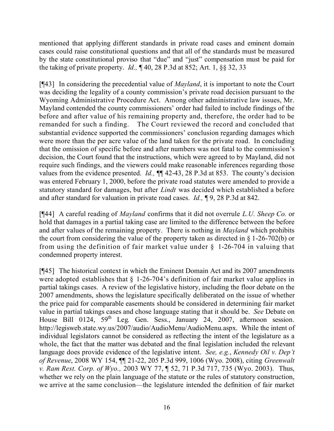mentioned that applying different standards in private road cases and eminent domain cases could raise constitutional questions and that all of the standards must be measured by the state constitutional proviso that "due" and "just" compensation must be paid for the taking of private property. *Id.,* ¶ 40, 28 P.3d at 852; Art. 1, §§ 32, 33

[¶43] In considering the precedential value of *Mayland*, it is important to note the Court was deciding the legality of a county commission's private road decision pursuant to the Wyoming Administrative Procedure Act. Among other administrative law issues, Mr. Mayland contended the county commissioners' order had failed to include findings of the before and after value of his remaining property and, therefore, the order had to be remanded for such a finding. The Court reviewed the record and concluded that substantial evidence supported the commissioners' conclusion regarding damages which were more than the per acre value of the land taken for the private road. In concluding that the omission of specific before and after numbers was not fatal to the commission's decision, the Court found that the instructions, which were agreed to by Mayland, did not require such findings, and the viewers could make reasonable inferences regarding those values from the evidence presented. *Id.*,  $\P\P$  42-43, 28 P.3d at 853. The county's decision was entered February 1, 2000, before the private road statutes were amended to provide a statutory standard for damages, but after *Lindt* was decided which established a before and after standard for valuation in private road cases. *Id.,* ¶ 9, 28 P.3d at 842.

[¶44] A careful reading of *Mayland* confirms that it did not overrule *L.U. Sheep Co.* or hold that damages in a partial taking case are limited to the difference between the before and after values of the remaining property. There is nothing in *Mayland* which prohibits the court from considering the value of the property taken as directed in § 1-26-702(b) or from using the definition of fair market value under  $\S$  1-26-704 in valuing that condemned property interest.

[¶45] The historical context in which the Eminent Domain Act and its 2007 amendments were adopted establishes that  $\frac{126-704}{s}$  definition of fair market value applies in partial takings cases. A review of the legislative history, including the floor debate on the 2007 amendments, shows the legislature specifically deliberated on the issue of whether the price paid for comparable easements should be considered in determining fair market value in partial takings cases and chose language stating that it should be. *See* Debate on House Bill 0124, 59<sup>th</sup> Leg. Gen. Sess., January 24, 2007, afternoon session. http://legisweb.state.wy.us/2007/audio/AudioMenu/AudioMenu.aspx. While the intent of individual legislators cannot be considered as reflecting the intent of the legislature as a whole, the fact that the matter was debated and the final legislation included the relevant language does provide evidence of the legislative intent. *See, e.g.*, *Kennedy Oil v. Dep't of Revenue*, 2008 WY 154, ¶¶ 21-22, 205 P.3d 999, 1006 (Wyo. 2008), citing *Greenwalt v. Ram Rest. Corp. of Wyo.,* 2003 WY 77, ¶ 52, 71 P.3d 717, 735 (Wyo. 2003). Thus, whether we rely on the plain language of the statute or the rules of statutory construction, we arrive at the same conclusion—the legislature intended the definition of fair market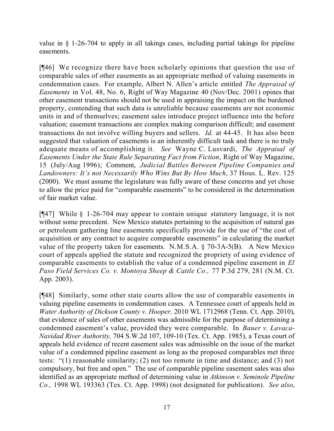value in § 1-26-704 to apply in all takings cases, including partial takings for pipeline easements.

[¶46] We recognize there have been scholarly opinions that question the use of comparable sales of other easements as an appropriate method of valuing easements in condemnation cases. For example, Albert N. Allen's article entitled *The Appraisal of Easements* in Vol. 48, No. 6, Right of Way Magazine 40 (Nov/Dec. 2001) opines that other easement transactions should not be used in appraising the impact on the burdened property, contending that such data is unreliable because easements are not economic units in and of themselves; easement sales introduce project influence into the before valuation; easement transactions are complex making comparison difficult; and easement transactions do not involve willing buyers and sellers. *Id.* at 44-45. It has also been suggested that valuation of easements is an inherently difficult task and there is no truly adequate means of accomplishing it. *See* Wayne C. Lusvardi, *The Appraisal of Easements Under the State Rule Separating Fact from Fiction*, Right of Way Magazine, 15 (July/Aug 1996); Comment, *Judicial Battles Between Pipeline Companies and Landowners: It's not Necessarily Who Wins But By How Much*, 37 Hous. L. Rev. 125 (2000). We must assume the legislature was fully aware of these concerns and yet chose to allow the price paid for "comparable easements" to be considered in the determination of fair market value.

[¶47] While § 1-26-704 may appear to contain unique statutory language, it is not without some precedent. New Mexico statutes pertaining to the acquisition of natural gas or petroleum gathering line easements specifically provide for the use of "the cost of acquisition or any contract to acquire comparable easements" in calculating the market value of the property taken for easements. N.M.S.A. § 70-3A-5(B). A New Mexico court of appeals applied the statute and recognized the propriety of using evidence of comparable easements to establish the value of a condemned pipeline easement in *El Paso Field Services Co. v. Montoya Sheep & Cattle Co.,* 77 P.3d 279, 281 (N.M. Ct. App. 2003).

[¶48] Similarly, some other state courts allow the use of comparable easements in valuing pipeline easements in condemnation cases. A Tennessee court of appeals held in *Water Authority of Dickson County v. Hooper,* 2010 WL 1712968 (Tenn. Ct. App. 2010), that evidence of sales of other easements was admissible for the purpose of determining a condemned easement's value, provided they were comparable. In *Bauer v. Lavaca-Navidad River Authority,* 704 S.W.2d 107, 109-10 (Tex. Ct. App. 1985), a Texas court of appeals held evidence of recent easement sales was admissible on the issue of the market value of a condemned pipeline easement as long as the proposed comparables met three tests: "(1) reasonable similarity; (2) not too remote in time and distance; and (3) not compulsory, but free and open." The use of comparable pipeline easement sales was also identified as an appropriate method of determining value in *Atkinson v. Seminole Pipeline Co.,* 1998 WL 193363 (Tex. Ct. App. 1998) (not designated for publication). *See also*,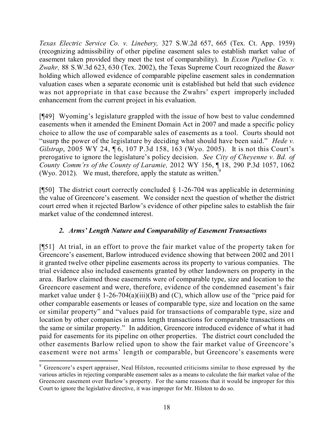*Texas Electric Service Co. v. Linebery,* 327 S.W.2d 657, 665 (Tex. Ct. App. 1959) (recognizing admissibility of other pipeline easement sales to establish market value of easement taken provided they meet the test of comparability). In *Exxon Pipeline Co. v. Zwahr,* 88 S.W.3d 623, 630 (Tex. 2002), the Texas Supreme Court recognized the *Bauer* holding which allowed evidence of comparable pipeline easement sales in condemnation valuation cases when a separate economic unit is established but held that such evidence was not appropriate in that case because the Zwahrs' expert improperly included enhancement from the current project in his evaluation.

[¶49] Wyoming's legislature grappled with the issue of how best to value condemned easements when it amended the Eminent Domain Act in 2007 and made a specific policy choice to allow the use of comparable sales of easements as a tool. Courts should not "usurp the power of the legislature by deciding what should have been said." *Hede v. Gilstrap*, 2005 WY 24, 16, 107 P.3d 158, 163 (Wyo. 2005). It is not this Court's prerogative to ignore the legislature's policy decision. *See City of Cheyenne v. Bd. of County Comm'rs of the County of Laramie,* 2012 WY 156, ¶ 18, 290 P.3d 1057, 1062 (Wyo. 2012). We must, therefore, apply the statute as written. $9$ 

[ $[$ [50] The district court correctly concluded  $\S$  1-26-704 was applicable in determining the value of Greencore's easement. We consider next the question of whether the district court erred when it rejected Barlow's evidence of other pipeline sales to establish the fair market value of the condemned interest.

# *2. Arms' Length Nature and Comparability of Easement Transactions*

[¶51] At trial, in an effort to prove the fair market value of the property taken for Greencore's easement, Barlow introduced evidence showing that between 2002 and 2011 it granted twelve other pipeline easements across its property to various companies. The trial evidence also included easements granted by other landowners on property in the area. Barlow claimed those easements were of comparable type, size and location to the Greencore easement and were, therefore, evidence of the condemned easement's fair market value under  $\S 1-26-704(a)(iii)(B)$  and (C), which allow use of the "price paid for other comparable easements or leases of comparable type, size and location on the same or similar property" and "values paid for transactions of comparable type, size and location by other companies in arms length transactions for comparable transactions on the same or similar property." In addition, Greencore introduced evidence of what it had paid for easements for its pipeline on other properties. The district court concluded the other easements Barlow relied upon to show the fair market value of Greencore's easement were not arms' length or comparable, but Greencore's easements were

 $\overline{a}$ <sup>9</sup> Greencore's expert appraiser, Neal Hilston, recounted criticisms similar to those expressed by the various articles in rejecting comparable easement sales as a means to calculate the fair market value of the Greencore easement over Barlow's property. For the same reasons that it would be improper for this Court to ignore the legislative directive, it was improper for Mr. Hilston to do so.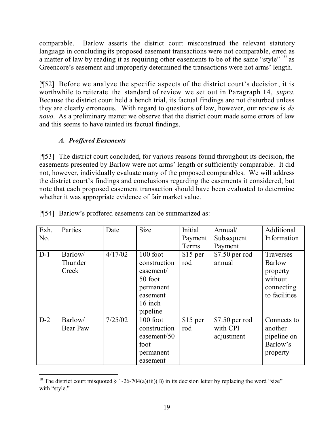comparable. Barlow asserts the district court misconstrued the relevant statutory language in concluding its proposed easement transactions were not comparable, erred as a matter of law by reading it as requiring other easements to be of the same "style"  $10$  as Greencore's easement and improperly determined the transactions were not arms' length.

[¶52] Before we analyze the specific aspects of the district court's decision, it is worthwhile to reiterate the standard of review we set out in Paragraph 14, *supra*. Because the district court held a bench trial, its factual findings are not disturbed unless they are clearly erroneous. With regard to questions of law, however, our review is *de novo*. As a preliminary matter we observe that the district court made some errors of law and this seems to have tainted its factual findings.

# *A. Proffered Easements*

[¶53] The district court concluded, for various reasons found throughout its decision, the easements presented by Barlow were not arms' length or sufficiently comparable. It did not, however, individually evaluate many of the proposed comparables. We will address the district court's findings and conclusions regarding the easements it considered, but note that each proposed easement transaction should have been evaluated to determine whether it was appropriate evidence of fair market value.

| Exh.  | Parties  | Date    | <b>Size</b>  | Initial   | Annual/        | Additional    |
|-------|----------|---------|--------------|-----------|----------------|---------------|
| No.   |          |         |              | Payment   | Subsequent     | Information   |
|       |          |         |              | Terms     | Payment        |               |
| $D-1$ | Barlow/  | 4/17/02 | 100 foot     | $$15$ per | \$7.50 per rod | Traverses     |
|       | Thunder  |         | construction | rod       | annual         | Barlow        |
|       | Creek    |         | easement/    |           |                | property      |
|       |          |         | 50 foot      |           |                | without       |
|       |          |         | permanent    |           |                | connecting    |
|       |          |         | easement     |           |                | to facilities |
|       |          |         | 16 inch      |           |                |               |
|       |          |         | pipeline     |           |                |               |
| $D-2$ | Barlow/  | 7/25/02 | 100 foot     | $$15$ per | \$7.50 per rod | Connects to   |
|       | Bear Paw |         | construction | rod       | with CPI       | another       |
|       |          |         | easement/50  |           | adjustment     | pipeline on   |
|       |          |         | foot         |           |                | Barlow's      |
|       |          |         | permanent    |           |                | property      |
|       |          |         | easement     |           |                |               |

[¶54] Barlow's proffered easements can be summarized as:

 $\overline{a}$ <sup>10</sup> The district court misquoted § 1-26-704(a)(iii)(B) in its decision letter by replacing the word "size" with "style."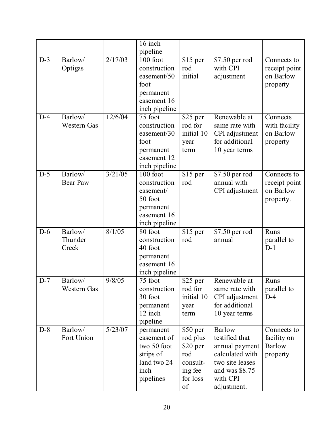|       |                    |         | 16 inch                  |            |                 |               |
|-------|--------------------|---------|--------------------------|------------|-----------------|---------------|
|       |                    |         | pipeline                 |            |                 |               |
| $D-3$ | Barlow/            | 2/17/03 | 100 foot                 | \$15 per   | \$7.50 per rod  | Connects to   |
|       | Optigas            |         | construction             | rod        | with CPI        | receipt point |
|       |                    |         | easement/50              | initial    | adjustment      | on Barlow     |
|       |                    |         | foot                     |            |                 | property      |
|       |                    |         | permanent                |            |                 |               |
|       |                    |         | easement 16              |            |                 |               |
|       |                    |         | inch pipeline            |            |                 |               |
| $D-4$ | Barlow/            | 12/6/04 | 75 foot                  | $$25$ per  | Renewable at    | Connects      |
|       | <b>Western Gas</b> |         | construction             | rod for    | same rate with  | with facility |
|       |                    |         | easement/30              | initial 10 | CPI adjustment  | on Barlow     |
|       |                    |         | foot                     | year       | for additional  | property      |
|       |                    |         | permanent<br>easement 12 | term       | 10 year terms   |               |
|       |                    |         | inch pipeline            |            |                 |               |
| $D-5$ | Barlow/            | 3/21/05 | 100 foot                 | $$15$ per  | \$7.50 per rod  | Connects to   |
|       | <b>Bear Paw</b>    |         | construction             | rod        | annual with     | receipt point |
|       |                    |         | easement/                |            | CPI adjustment  | on Barlow     |
|       |                    |         | 50 foot                  |            |                 | property.     |
|       |                    |         | permanent                |            |                 |               |
|       |                    |         | easement 16              |            |                 |               |
|       |                    |         | inch pipeline            |            |                 |               |
| $D-6$ | Barlow/            | 8/1/05  | 80 foot                  | $$15$ per  | \$7.50 per rod  | Runs          |
|       | Thunder            |         | construction             | rod        | annual          | parallel to   |
|       | Creek              |         | 40 foot                  |            |                 | $D-1$         |
|       |                    |         | permanent                |            |                 |               |
|       |                    |         | easement 16              |            |                 |               |
|       |                    |         | inch pipeline            |            |                 |               |
| $D-7$ | Barlow/            | 9/8/05  | 75 foot                  | \$25 per   | Renewable at    | Runs          |
|       | <b>Western Gas</b> |         | construction             | rod for    | same rate with  | parallel to   |
|       |                    |         | 30 foot                  | initial 10 | CPI adjustment  | $D-4$         |
|       |                    |         | permanent<br>12 inch     | year       | for additional  |               |
|       |                    |         | pipeline                 | term       | 10 year terms   |               |
| $D-8$ | Barlow/            | 5/23/07 | permanent                | $$50$ per  | <b>Barlow</b>   | Connects to   |
|       | Fort Union         |         | easement of              | rod plus   | testified that  | facility on   |
|       |                    |         | two 50 foot              | \$20 per   | annual payment  | <b>Barlow</b> |
|       |                    |         | strips of                | rod        | calculated with | property      |
|       |                    |         | land two 24              | consult-   | two site leases |               |
|       |                    |         | inch                     | ing fee    | and was \$8.75  |               |
|       |                    |         | pipelines                | for loss   | with CPI        |               |
|       |                    |         |                          | of         | adjustment.     |               |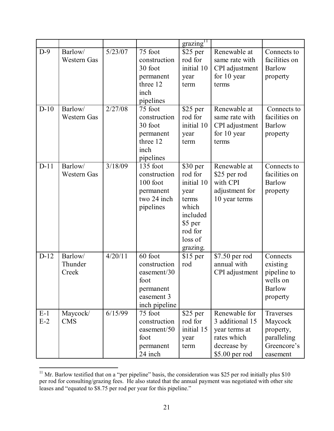|        |                    |         |               | grazing <sup>11</sup> |                 |               |
|--------|--------------------|---------|---------------|-----------------------|-----------------|---------------|
| $D-9$  | Barlow/            | 5/23/07 | 75 foot       | $$25$ per             | Renewable at    | Connects to   |
|        | Western Gas        |         | construction  | rod for               | same rate with  | facilities on |
|        |                    |         | 30 foot       | initial 10            | CPI adjustment  | <b>Barlow</b> |
|        |                    |         | permanent     | year                  | for 10 year     | property      |
|        |                    |         | three 12      | term                  | terms           |               |
|        |                    |         | inch          |                       |                 |               |
|        |                    |         | pipelines     |                       |                 |               |
| $D-10$ | Barlow/            | 2/27/08 | 75 foot       | $\overline{$25}$ per  | Renewable at    | Connects to   |
|        | <b>Western Gas</b> |         | construction  | rod for               | same rate with  | facilities on |
|        |                    |         | 30 foot       | initial 10            | CPI adjustment  | <b>Barlow</b> |
|        |                    |         | permanent     | year                  | for 10 year     | property      |
|        |                    |         | three 12      | term                  | terms           |               |
|        |                    |         | inch          |                       |                 |               |
|        |                    |         | pipelines     |                       |                 |               |
| $D-11$ | Barlow/            | 3/18/09 | 135 foot      | \$30 per              | Renewable at    | Connects to   |
|        | Western Gas        |         | construction  | rod for               | \$25 per rod    | facilities on |
|        |                    |         | 100 foot      | initial 10            | with CPI        | <b>Barlow</b> |
|        |                    |         | permanent     | year                  | adjustment for  | property      |
|        |                    |         | two 24 inch   | terms                 | 10 year terms   |               |
|        |                    |         | pipelines     | which                 |                 |               |
|        |                    |         |               | included              |                 |               |
|        |                    |         |               | \$5 per               |                 |               |
|        |                    |         |               | rod for               |                 |               |
|        |                    |         |               | loss of               |                 |               |
|        |                    |         |               | grazing.              |                 |               |
| $D-12$ | Barlow/            | 4/20/11 | 60 foot       | $$15$ per             | \$7.50 per rod  | Connects      |
|        | Thunder            |         | construction  | rod                   | annual with     | existing      |
|        | Creek              |         | easement/30   |                       | CPI adjustment  | pipeline to   |
|        |                    |         | foot          |                       |                 | wells on      |
|        |                    |         | permanent     |                       |                 | <b>Barlow</b> |
|        |                    |         | easement 3    |                       |                 | property      |
|        |                    |         | inch pipeline |                       |                 |               |
| $E-1$  | Maycock/           | 6/15/99 | 75 foot       | $$25$ per             | Renewable for   | Traverses     |
| $E-2$  | <b>CMS</b>         |         | construction  | rod for               | 3 additional 15 | Maycock       |
|        |                    |         | easement/50   | initial 15            | year terms at   | property,     |
|        |                    |         | foot          | year                  | rates which     | paralleling   |
|        |                    |         | permanent     | term                  | decrease by     | Greencore's   |
|        |                    |         | 24 inch       |                       | \$5.00 per rod  | easement      |

 <sup>11</sup> Mr. Barlow testified that on a "per pipeline" basis, the consideration was \$25 per rod initially plus \$10 per rod for consulting/grazing fees. He also stated that the annual payment was negotiated with other site leases and "equated to \$8.75 per rod per year for this pipeline."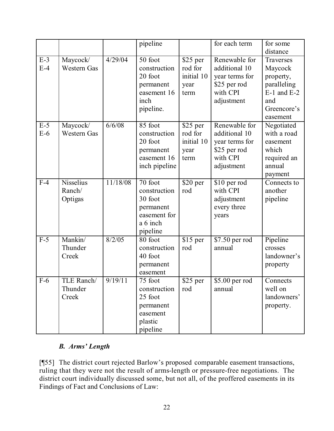|                |                                       |          | pipeline                                                                                |                                                   | for each term                                                                              | for some<br>distance                                                                                  |
|----------------|---------------------------------------|----------|-----------------------------------------------------------------------------------------|---------------------------------------------------|--------------------------------------------------------------------------------------------|-------------------------------------------------------------------------------------------------------|
| $E-3$<br>$E-4$ | Maycock/<br>Western Gas               | 4/29/04  | 50 foot<br>construction<br>20 foot<br>permanent<br>easement 16<br>inch<br>pipeline.     | \$25 per<br>rod for<br>initial 10<br>year<br>term | Renewable for<br>additional 10<br>year terms for<br>\$25 per rod<br>with CPI<br>adjustment | Traverses<br>Maycock<br>property,<br>paralleling<br>$E-1$ and $E-2$<br>and<br>Greencore's<br>easement |
| $E-5$<br>$E-6$ | Maycock/<br>Western Gas               | 6/6/08   | 85 foot<br>construction<br>20 foot<br>permanent<br>easement 16<br>inch pipeline         | \$25 per<br>rod for<br>initial 10<br>year<br>term | Renewable for<br>additional 10<br>year terms for<br>\$25 per rod<br>with CPI<br>adjustment | Negotiated<br>with a road<br>easement<br>which<br>required an<br>annual<br>payment                    |
| $F-4$          | <b>Nisselius</b><br>Ranch/<br>Optigas | 11/18/08 | 70 foot<br>construction<br>30 foot<br>permanent<br>easement for<br>a 6 inch<br>pipeline | \$20 per<br>rod                                   | \$10 per rod<br>with CPI<br>adjustment<br>every three<br>years                             | Connects to<br>another<br>pipeline                                                                    |
| $F-5$          | Mankin/<br>Thunder<br>Creek           | 8/2/05   | 80 foot<br>construction<br>40 foot<br>permanent<br>easement                             | \$15 per<br>rod                                   | \$7.50 per rod<br>annual                                                                   | Pipeline<br>crosses<br>landowner's<br>property                                                        |
| $F-6$          | TLE Ranch/<br>Thunder<br>Creek        | 9/19/11  | 75 foot<br>construction<br>25 foot<br>permanent<br>easement<br>plastic<br>pipeline      | \$25 per<br>rod                                   | \$5.00 per rod<br>annual                                                                   | Connects<br>well on<br>landowners'<br>property.                                                       |

# *B. Arms' Length*

[¶55] The district court rejected Barlow's proposed comparable easement transactions, ruling that they were not the result of arms-length or pressure-free negotiations. The district court individually discussed some, but not all, of the proffered easements in its Findings of Fact and Conclusions of Law: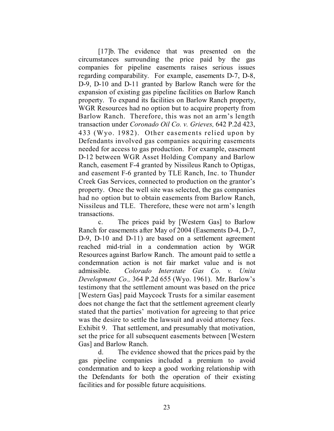[17]b. The evidence that was presented on the circumstances surrounding the price paid by the gas companies for pipeline easements raises serious issues regarding comparability. For example, easements D-7, D-8, D-9, D-10 and D-11 granted by Barlow Ranch were for the expansion of existing gas pipeline facilities on Barlow Ranch property. To expand its facilities on Barlow Ranch property, WGR Resources had no option but to acquire property from Barlow Ranch. Therefore, this was not an arm's length transaction under *Coronado Oil Co. v. Grieves,* 642 P.2d 423, 433 (Wyo. 1982). Other easements relied upon by Defendants involved gas companies acquiring easements needed for access to gas production. For example, easement D-12 between WGR Asset Holding Company and Barlow Ranch, easement F-4 granted by Nissileus Ranch to Optigas, and easement F-6 granted by TLE Ranch, Inc. to Thunder Creek Gas Services, connected to production on the grantor's property. Once the well site was selected, the gas companies had no option but to obtain easements from Barlow Ranch, Nissileus and TLE. Therefore, these were not arm's length transactions.

c. The prices paid by [Western Gas] to Barlow Ranch for easements after May of 2004 (Easements D-4, D-7, D-9, D-10 and D-11) are based on a settlement agreement reached mid-trial in a condemnation action by WGR Resources against Barlow Ranch. The amount paid to settle a condemnation action is not fair market value and is not admissible. *Colorado Interstate Gas Co. v. Unita Development Co.,* 364 P.2d 655 (Wyo. 1961). Mr. Barlow's testimony that the settlement amount was based on the price [Western Gas] paid Maycock Trusts for a similar easement does not change the fact that the settlement agreement clearly stated that the parties' motivation for agreeing to that price was the desire to settle the lawsuit and avoid attorney fees. Exhibit 9. That settlement, and presumably that motivation, set the price for all subsequent easements between [Western Gas] and Barlow Ranch.

d. The evidence showed that the prices paid by the gas pipeline companies included a premium to avoid condemnation and to keep a good working relationship with the Defendants for both the operation of their existing facilities and for possible future acquisitions.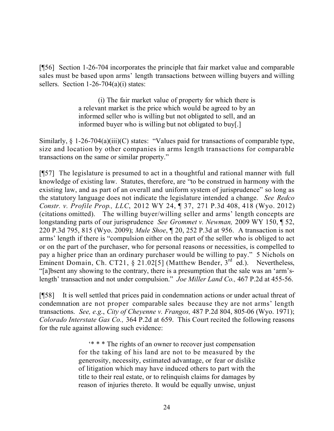[¶56] Section 1-26-704 incorporates the principle that fair market value and comparable sales must be based upon arms' length transactions between willing buyers and willing sellers. Section  $1-26-704(a)(i)$  states:

> (i) The fair market value of property for which there is a relevant market is the price which would be agreed to by an informed seller who is willing but not obligated to sell, and an informed buyer who is willing but not obligated to buy[.]

Similarly, § 1-26-704(a)(iii)(C) states: "Values paid for transactions of comparable type, size and location by other companies in arms length transactions for comparable transactions on the same or similar property."

[¶57] The legislature is presumed to act in a thoughtful and rational manner with full knowledge of existing law. Statutes, therefore, are "to be construed in harmony with the existing law, and as part of an overall and uniform system of jurisprudence" so long as the statutory language does not indicate the legislature intended a change. *See Redco Constr. v. Profile Prop., LLC*, 2012 WY 24, ¶ 37, 271 P.3d 408, 418 (Wyo. 2012) (citations omitted). The willing buyer/willing seller and arms' length concepts are longstanding parts of our jurisprudence *See Grommet v. Newman,* 2009 WY 150, ¶ 52, 220 P.3d 795, 815 (Wyo. 2009); *Mule Shoe*, ¶ 20, 252 P.3d at 956. A transaction is not arms' length if there is "compulsion either on the part of the seller who is obliged to act or on the part of the purchaser, who for personal reasons or necessities, is compelled to pay a higher price than an ordinary purchaser would be willing to pay." 5 Nichols on Eminent Domain, Ch. CT21, § 21.02[5] (Matthew Bender, 3<sup>rd</sup> ed.). Nevertheless, "[a]bsent any showing to the contrary, there is a presumption that the sale was an 'arm'slength' transaction and not under compulsion." *Joe Miller Land Co.,* 467 P.2d at 455-56.

[¶58] It is well settled that prices paid in condemnation actions or under actual threat of condemnation are not proper comparable sales because they are not arms' length transactions. *See, e.g*., *City of Cheyenne v. Frangos,* 487 P.2d 804, 805-06 (Wyo. 1971); *Colorado Interstate Gas Co.,* 364 P.2d at 659. This Court recited the following reasons for the rule against allowing such evidence:

> '\* \* \* The rights of an owner to recover just compensation for the taking of his land are not to be measured by the generosity, necessity, estimated advantage, or fear or dislike of litigation which may have induced others to part with the title to their real estate, or to relinquish claims for damages by reason of injuries thereto. It would be equally unwise, unjust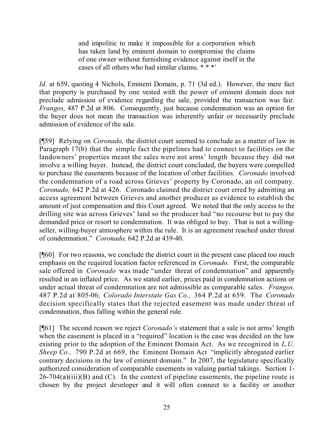and impolitic to make it impossible for a corporation which has taken land by eminent domain to compromise the claims of one owner without furnishing evidence against itself in the cases of all others who had similar claims. \* \* \*'

*Id.* at 659, quoting 4 Nichols, Eminent Domain, p. 71 (3d ed.). However, the mere fact that property is purchased by one vested with the power of eminent domain does not preclude admission of evidence regarding the sale, provided the transaction was fair. *Frangos,* 487 P.2d at 806. Consequently, just because condemnation was an option for the buyer does not mean the transaction was inherently unfair or necessarily preclude admission of evidence of the sale.

[¶59] Relying on *Coronado,* the district court seemed to conclude as a matter of law in Paragraph 17(b) that the simple fact the pipelines had to connect to facilities on the landowners' properties meant the sales were not arms' length because they did not involve a willing buyer. Instead, the district court concluded, the buyers were compelled to purchase the easements because of the location of other facilities. *Coronado* involved the condemnation of a road across Grieves' property by Coronado, an oil company. *Coronado,* 642 P.2d at 426. Coronado claimed the district court erred by admitting an access agreement between Grieves and another producer as evidence to establish the amount of just compensation and this Court agreed. We noted that the only access to the drilling site was across Grieves' land so the producer had "no recourse but to pay the demanded price or resort to condemnation. It was obliged to buy. That is not a willingseller, willing-buyer atmosphere within the rule. It is an agreement reached under threat of condemnation." *Coronado,* 642 P.2d at 439-40.

[¶60] For two reasons, we conclude the district court in the present case placed too much emphasis on the required location factor referenced in *Coronado.* First, the comparable sale offered in *Coronado* was made "under threat of condemnation" and apparently resulted in an inflated price. As we stated earlier, prices paid in condemnation actions or under actual threat of condemnation are not admissible as comparable sales. *Frangos,*  487 P.2d at 805-06; *Colorado Interstate Gas Co.,* 364 P.2d at 659. The *Coronado*  decision specifically states that the rejected easement was made under threat of condemnation, thus falling within the general rule.

[¶61] The second reason we reject *Coronado's* statement that a sale is not arms' length when the easement is placed in a "required" location is the case was decided on the law existing prior to the adoption of the Eminent Domain Act. As we recognized in *L.U. Sheep Co., 790 P.2d at 669, the Eminent Domain Act "implicitly abrogated earlier* contrary decisions in the law of eminent domain." In 2007, the legislature specifically authorized consideration of comparable easements in valuing partial takings. Section 1-  $26-704(a)(iii)(B)$  and (C). In the context of pipeline easements, the pipeline route is chosen by the project developer and it will often connect to a facility or another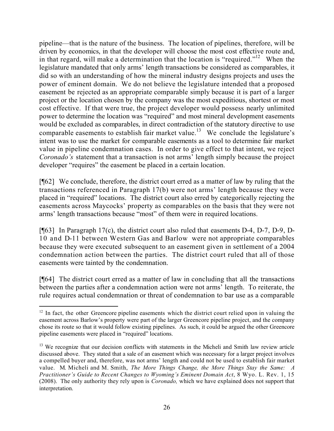pipeline—that is the nature of the business. The location of pipelines, therefore, will be driven by economics, in that the developer will choose the most cost effective route and, in that regard, will make a determination that the location is "required."<sup>12</sup> When the legislature mandated that only arms' length transactions be considered as comparables, it did so with an understanding of how the mineral industry designs projects and uses the power of eminent domain. We do not believe the legislature intended that a proposed easement be rejected as an appropriate comparable simply because it is part of a larger project or the location chosen by the company was the most expeditious, shortest or most cost effective. If that were true, the project developer would possess nearly unlimited power to determine the location was "required" and most mineral development easements would be excluded as comparables, in direct contradiction of the statutory directive to use comparable easements to establish fair market value.<sup>13</sup> We conclude the legislature's intent was to use the market for comparable easements as a tool to determine fair market value in pipeline condemnation cases. In order to give effect to that intent, we reject *Coronado's* statement that a transaction is not arms' length simply because the project developer "requires" the easement be placed in a certain location.

[¶62] We conclude, therefore, the district court erred as a matter of law by ruling that the transactions referenced in Paragraph 17(b) were not arms' length because they were placed in "required" locations. The district court also erred by categorically rejecting the easements across Maycocks' property as comparables on the basis that they were not arms' length transactions because "most" of them were in required locations.

[¶63] In Paragraph 17(c), the district court also ruled that easements D-4, D-7, D-9, D-10 and D-11 between Western Gas and Barlow were not appropriate comparables because they were executed subsequent to an easement given in settlement of a 2004 condemnation action between the parties. The district court ruled that all of those easements were tainted by the condemnation.

[¶64] The district court erred as a matter of law in concluding that all the transactions between the parties after a condemnation action were not arms' length. To reiterate, the rule requires actual condemnation or threat of condemnation to bar use as a comparable

 $\overline{a}$  $12$  In fact, the other Greencore pipeline easements which the district court relied upon in valuing the easement across Barlow's property were part of the larger Greencore pipeline project, and the company chose its route so that it would follow existing pipelines. As such, it could be argued the other Greencore pipeline easements were placed in "required" locations.

<sup>&</sup>lt;sup>13</sup> We recognize that our decision conflicts with statements in the Micheli and Smith law review article discussed above. They stated that a sale of an easement which was necessary for a larger project involves a compelled buyer and, therefore, was not arms' length and could not be used to establish fair market value. M. Micheli and M. Smith, *The More Things Change, the More Things Stay the Same: A Practitioner's Guide to Recent Changes to Wyoming's Eminent Domain Act*, 8 Wyo. L. Rev. 1, 15 (2008). The only authority they rely upon is *Coronado,* which we have explained does not support that interpretation.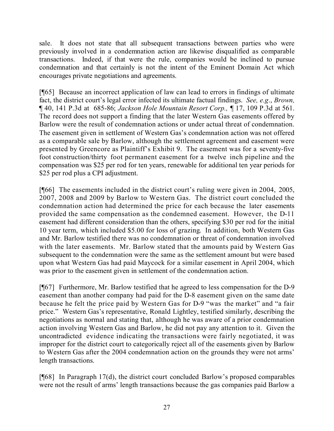sale. It does not state that all subsequent transactions between parties who were previously involved in a condemnation action are likewise disqualified as comparable transactions. Indeed, if that were the rule, companies would be inclined to pursue condemnation and that certainly is not the intent of the Eminent Domain Act which encourages private negotiations and agreements.

[¶65] Because an incorrect application of law can lead to errors in findings of ultimate fact, the district court's legal error infected its ultimate factual findings. *See, e.g*., *Brown,* ¶ 40, 141 P.3d at 685-86; *Jackson Hole Mountain Resort Corp.,* ¶ 17, 109 P.3d at 561. The record does not support a finding that the later Western Gas easements offered by Barlow were the result of condemnation actions or under actual threat of condemnation. The easement given in settlement of Western Gas's condemnation action was not offered as a comparable sale by Barlow, although the settlement agreement and easement were presented by Greencore as Plaintiff's Exhibit 9. The easement was for a seventy-five foot construction/thirty foot permanent easement for a twelve inch pipeline and the compensation was \$25 per rod for ten years, renewable for additional ten year periods for \$25 per rod plus a CPI adjustment.

[¶66] The easements included in the district court's ruling were given in 2004, 2005, 2007, 2008 and 2009 by Barlow to Western Gas. The district court concluded the condemnation action had determined the price for each because the later easements provided the same compensation as the condemned easement. However, the D-11 easement had different consideration than the others, specifying \$30 per rod for the initial 10 year term, which included \$5.00 for loss of grazing. In addition, both Western Gas and Mr. Barlow testified there was no condemnation or threat of condemnation involved with the later easements. Mr. Barlow stated that the amounts paid by Western Gas subsequent to the condemnation were the same as the settlement amount but were based upon what Western Gas had paid Maycock for a similar easement in April 2004, which was prior to the easement given in settlement of the condemnation action.

[¶67] Furthermore, Mr. Barlow testified that he agreed to less compensation for the D-9 easement than another company had paid for the D-8 easement given on the same date because he felt the price paid by Western Gas for D-9 "was the market" and "a fair price." Western Gas's representative, Ronald Lightley, testified similarly, describing the negotiations as normal and stating that, although he was aware of a prior condemnation action involving Western Gas and Barlow, he did not pay any attention to it. Given the uncontradicted evidence indicating the transactions were fairly negotiated, it was improper for the district court to categorically reject all of the easements given by Barlow to Western Gas after the 2004 condemnation action on the grounds they were not arms' length transactions.

[¶68] In Paragraph 17(d), the district court concluded Barlow's proposed comparables were not the result of arms' length transactions because the gas companies paid Barlow a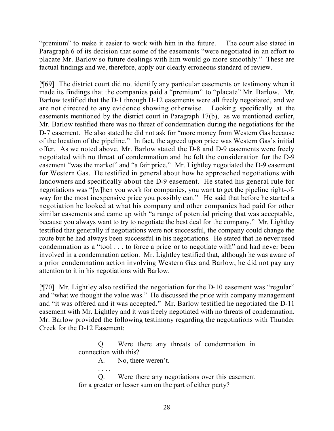"premium" to make it easier to work with him in the future. The court also stated in Paragraph 6 of its decision that some of the easements "were negotiated in an effort to placate Mr. Barlow so future dealings with him would go more smoothly." These are factual findings and we, therefore, apply our clearly erroneous standard of review.

[¶69] The district court did not identify any particular easements or testimony when it made its findings that the companies paid a "premium" to "placate" Mr. Barlow. Mr. Barlow testified that the D-1 through D-12 easements were all freely negotiated, and we are not directed to any evidence showing otherwise. Looking specifically at the easements mentioned by the district court in Paragraph 17(b), as we mentioned earlier, Mr. Barlow testified there was no threat of condemnation during the negotiations for the D-7 easement. He also stated he did not ask for "more money from Western Gas because of the location of the pipeline." In fact, the agreed upon price was Western Gas's initial offer. As we noted above, Mr. Barlow stated the D-8 and D-9 easements were freely negotiated with no threat of condemnation and he felt the consideration for the D-9 easement "was the market" and "a fair price." Mr. Lightley negotiated the D-9 easement for Western Gas. He testified in general about how he approached negotiations with landowners and specifically about the D-9 easement. He stated his general rule for negotiations was "[w]hen you work for companies, you want to get the pipeline right-ofway for the most inexpensive price you possibly can." He said that before he started a negotiation he looked at what his company and other companies had paid for other similar easements and came up with "a range of potential pricing that was acceptable, because you always want to try to negotiate the best deal for the company." Mr. Lightley testified that generally if negotiations were not successful, the company could change the route but he had always been successful in his negotiations. He stated that he never used condemnation as a "tool . . . to force a price or to negotiate with" and had never been involved in a condemnation action. Mr. Lightley testified that, although he was aware of a prior condemnation action involving Western Gas and Barlow, he did not pay any attention to it in his negotiations with Barlow.

[¶70] Mr. Lightley also testified the negotiation for the D-10 easement was "regular" and "what we thought the value was." He discussed the price with company management and "it was offered and it was accepted." Mr. Barlow testified he negotiated the D-11 easement with Mr. Lightley and it was freely negotiated with no threats of condemnation. Mr. Barlow provided the following testimony regarding the negotiations with Thunder Creek for the D-12 Easement:

> Q. Were there any threats of condemnation in connection with this?

> > A. No, there weren't.

. . . .

Q. Were there any negotiations over this easement for a greater or lesser sum on the part of either party?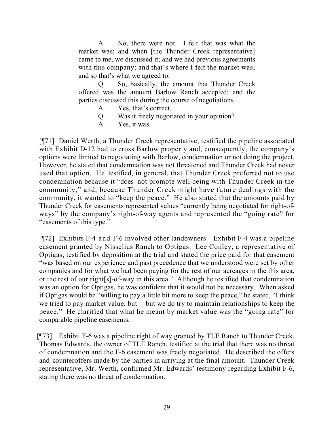A. No, there were not. I felt that was what the market was; and when [the Thunder Creek representative] came to me, we discussed it; and we had previous agreements with this company; and that's where I felt the market was; and so that's what we agreed to.

Q. So, basically, the amount that Thunder Creek offered was the amount Barlow Ranch accepted; and the parties discussed this during the course of negotiations.

- A. Yes, that's correct.
- Q. Was it freely negotiated in your opinion?
- A. Yes, it was.

[¶71] Daniel Werth, a Thunder Creek representative, testified the pipeline associated with Exhibit D-12 had to cross Barlow property and, consequently, the company's options were limited to negotiating with Barlow, condemnation or not doing the project. However, he stated that condemnation was not threatened and Thunder Creek had never used that option. He testified, in general, that Thunder Creek preferred not to use condemnation because it "does not promote well-being with Thunder Creek in the community," and, because Thunder Creek might have future dealings with the community, it wanted to "keep the peace." He also stated that the amounts paid by Thunder Creek for easements represented values "currently being negotiated for right-ofways" by the company's right-of-way agents and represented the "going rate" for "easements of this type."

[¶72] Exhibits F-4 and F-6 involved other landowners. Exhibit F-4 was a pipeline easement granted by Nisselius Ranch to Optigas. Lee Conley, a representative of Optigas, testified by deposition at the trial and stated the price paid for that easement "was based on our experience and past precedence that we understood were set by other companies and for what we had been paying for the rest of our acreages in the this area, or the rest of our right[s]-of-way in this area." Although he testified that condemnation was an option for Optigas, he was confident that it would not be necessary. When asked if Optigas would be "willing to pay a little bit more to keep the peace," he stated, "I think we tried to pay market value, but – but we do try to maintain relationships to keep the peace." He clarified that what he meant by market value was the "going rate" for comparable pipeline easements.

[¶73] Exhibit F-6 was a pipeline right of way granted by TLE Ranch to Thunder Creek. Thomas Edwards, the owner of TLE Ranch, testified at the trial that there was no threat of condemnation and the F-6 easement was freely negotiated. He described the offers and counteroffers made by the parties in arriving at the final amount. Thunder Creek representative, Mr. Werth, confirmed Mr. Edwards' testimony regarding Exhibit F-6, stating there was no threat of condemnation.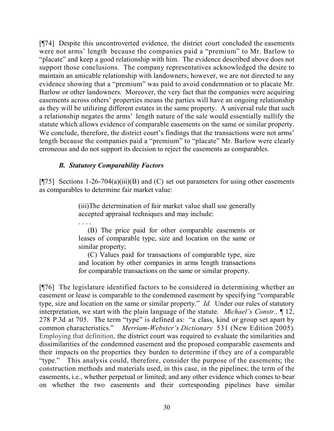[¶74] Despite this uncontroverted evidence, the district court concluded the easements were not arms' length because the companies paid a "premium" to Mr. Barlow to "placate" and keep a good relationship with him. The evidence described above does not support those conclusions. The company representatives acknowledged the desire to maintain an amicable relationship with landowners; however, we are not directed to any evidence showing that a "premium" was paid to avoid condemnation or to placate Mr. Barlow or other landowners. Moreover, the very fact that the companies were acquiring easements across others' properties means the parties will have an ongoing relationship as they will be utilizing different estates in the same property. A universal rule that such a relationship negates the arms' length nature of the sale would essentially nullify the statute which allows evidence of comparable easements on the same or similar property. We conclude, therefore, the district court's findings that the transactions were not arms' length because the companies paid a "premium" to "placate" Mr. Barlow were clearly erroneous and do not support its decision to reject the easements as comparables.

# *B. Statutory Comparability Factors*

[ $[$ 75] Sections 1-26-704(a)(iii)(B) and (C) set out parameters for using other easements as comparables to determine fair market value:

> (iii)The determination of fair market value shall use generally accepted appraisal techniques and may include:

> . . . . (B) The price paid for other comparable easements or leases of comparable type, size and location on the same or similar property;

> (C) Values paid for transactions of comparable type, size and location by other companies in arms length transactions for comparable transactions on the same or similar property.

[¶76] The legislature identified factors to be considered in determining whether an easement or lease is comparable to the condemned easement by specifying "comparable type, size and location on the same or similar property." *Id.* Under our rules of statutory interpretation, we start with the plain language of the statute. *Michael's Constr.,* ¶ 12, 278 P.3d at 705. The term "type" is defined as: "a class, kind or group set apart by common characteristics." *Merriam-Webster's Dictionary* 531 (New Edition 2005). Employing that definition, the district court was required to evaluate the similarities and dissimilarities of the condemned easement and the proposed comparable easements and their impacts on the properties they burden to determine if they are of a comparable "type." This analysis could, therefore, consider the purpose of the easements; the construction methods and materials used, in this case, in the pipelines; the term of the easements, i.e., whether perpetual or limited; and any other evidence which comes to bear on whether the two easements and their corresponding pipelines have similar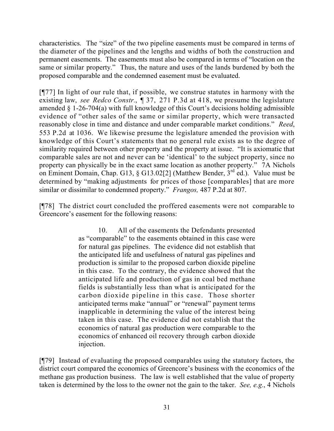characteristics. The "size" of the two pipeline easements must be compared in terms of the diameter of the pipelines and the lengths and widths of both the construction and permanent easements. The easements must also be compared in terms of "location on the same or similar property." Thus, the nature and uses of the lands burdened by both the proposed comparable and the condemned easement must be evaluated.

[¶77] In light of our rule that, if possible, we construe statutes in harmony with the existing law, *see Redco Constr.*, ¶ 37, 271 P.3d at 418, we presume the legislature amended § 1-26-704(a) with full knowledge of this Court's decisions holding admissible evidence of "other sales of the same or similar property, which were transacted reasonably close in time and distance and under comparable market conditions." *Reed*, 553 P.2d at 1036. We likewise presume the legislature amended the provision with knowledge of this Court's statements that no general rule exists as to the degree of similarity required between other property and the property at issue. "It is axiomatic that comparable sales are not and never can be 'identical' to the subject property, since no property can physically be in the exact same location as another property." 7A Nichols on Eminent Domain, Chap. G13, § G13.02[2] (Matthew Bender, 3rd ed.).Value must be determined by "making adjustments for prices of those [comparables] that are more similar or dissimilar to condemned property." *Frangos,* 487 P.2d at 807.

[¶78] The district court concluded the proffered easements were not comparable to Greencore's easement for the following reasons:

> 10. All of the easements the Defendants presented as "comparable" to the easements obtained in this case were for natural gas pipelines. The evidence did not establish that the anticipated life and usefulness of natural gas pipelines and production is similar to the proposed carbon dioxide pipeline in this case. To the contrary, the evidence showed that the anticipated life and production of gas in coal bed methane fields is substantially less than what is anticipated for the carbon dioxide pipeline in this case. Those shorter anticipated terms make "annual" or "renewal" payment terms inapplicable in determining the value of the interest being taken in this case. The evidence did not establish that the economics of natural gas production were comparable to the economics of enhanced oil recovery through carbon dioxide injection.

[¶79] Instead of evaluating the proposed comparables using the statutory factors, the district court compared the economics of Greencore's business with the economics of the methane gas production business. The law is well established that the value of property taken is determined by the loss to the owner not the gain to the taker. *See, e.g.*, 4 Nichols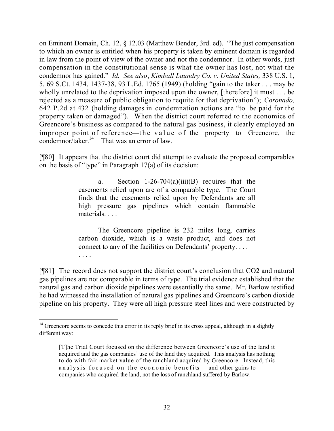on Eminent Domain, Ch. 12, § 12.03 (Matthew Bender, 3rd. ed). "The just compensation to which an owner is entitled when his property is taken by eminent domain is regarded in law from the point of view of the owner and not the condemnor. In other words, just compensation in the constitutional sense is what the owner has lost, not what the condemnor has gained." *Id. See also*, *Kimball Laundry Co. v. United States,* 338 U.S. 1, 5, 69 S.Ct. 1434, 1437-38, 93 L.Ed. 1765 (1949) (holding "gain to the taker . . . may be wholly unrelated to the deprivation imposed upon the owner, [therefore] it must . . . be rejected as a measure of public obligation to requite for that deprivation"); *Coronado,*  642 P.2d at 432 (holding damages in condemnation actions are "to be paid for the property taken or damaged"). When the district court referred to the economics of Greencore's business as compared to the natural gas business, it clearly employed an improper point of reference—the value of the property to Greencore, the condemnor/taker.<sup>14</sup> That was an error of law.

[¶80] It appears that the district court did attempt to evaluate the proposed comparables on the basis of "type" in Paragraph 17(a) of its decision:

> a. Section  $1-26-704(a)(iii)(B)$  requires that the easements relied upon are of a comparable type. The Court finds that the easements relied upon by Defendants are all high pressure gas pipelines which contain flammable materials.

> The Greencore pipeline is 232 miles long, carries carbon dioxide, which is a waste product, and does not connect to any of the facilities on Defendants' property. . . .

. . . .

[¶81] The record does not support the district court's conclusion that CO2 and natural gas pipelines are not comparable in terms of type. The trial evidence established that the natural gas and carbon dioxide pipelines were essentially the same. Mr. Barlow testified he had witnessed the installation of natural gas pipelines and Greencore's carbon dioxide pipeline on his property. They were all high pressure steel lines and were constructed by

 $\overline{a}$  $14$  Greencore seems to concede this error in its reply brief in its cross appeal, although in a slightly different way:

<sup>[</sup>T]he Trial Court focused on the difference between Greencore's use of the land it acquired and the gas companies' use of the land they acquired. This analysis has nothing to do with fair market value of the ranchland acquired by Greencore. Instead, this analysis focused on the economic benefits and other gains to companies who acquired the land, not the loss of ranchland suffered by Barlow.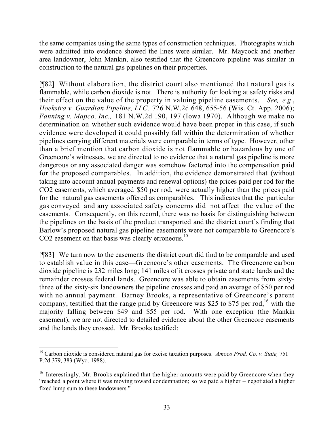the same companies using the same types of construction techniques. Photographs which were admitted into evidence showed the lines were similar. Mr. Maycock and another area landowner, John Mankin, also testified that the Greencore pipeline was similar in construction to the natural gas pipelines on their properties.

[¶82] Without elaboration, the district court also mentioned that natural gas is flammable, while carbon dioxide is not. There is authority for looking at safety risks and their effect on the value of the property in valuing pipeline easements. *See, e.g*., *Hoekstra v. Guardian Pipeline, LLC,* 726 N.W.2d 648, 655-56 (Wis. Ct. App. 2006); *Fanning v. Mapco, Inc.,* 181 N.W.2d 190, 197 (Iowa 1970). Although we make no determination on whether such evidence would have been proper in this case, if such evidence were developed it could possibly fall within the determination of whether pipelines carrying different materials were comparable in terms of type. However, other than a brief mention that carbon dioxide is not flammable or hazardous by one of Greencore's witnesses, we are directed to no evidence that a natural gas pipeline is more dangerous or any associated danger was somehow factored into the compensation paid for the proposed comparables. In addition, the evidence demonstrated that (without taking into account annual payments and renewal options) the prices paid per rod for the CO2 easements, which averaged \$50 per rod, were actually higher than the prices paid for the natural gas easements offered as comparables. This indicates that the particular gas conveyed and any associated safety concerns did not affect the value of the easements. Consequently, on this record, there was no basis for distinguishing between the pipelines on the basis of the product transported and the district court's finding that Barlow's proposed natural gas pipeline easements were not comparable to Greencore's CO2 easement on that basis was clearly erroneous.<sup>15</sup>

[¶83] We turn now to the easements the district court did find to be comparable and used to establish value in this case—Greencore's other easements. The Greencore carbon dioxide pipeline is 232 miles long; 141 miles of it crosses private and state lands and the remainder crosses federal lands. Greencore was able to obtain easements from sixtythree of the sixty-six landowners the pipeline crosses and paid an average of \$50 per rod with no annual payment. Barney Brooks, a representative of Greencore's parent company, testified that the range paid by Greencore was \$25 to \$75 per rod,<sup>16</sup> with the majority falling between \$49 and \$55 per rod. With one exception (the Mankin easement), we are not directed to detailed evidence about the other Greencore easements and the lands they crossed. Mr. Brooks testified:

<sup>15</sup> Carbon dioxide is considered natural gas for excise taxation purposes. *Amoco Prod. Co. v. State,* 751 P.2d 379, 383 (Wyo. 1988).

<sup>&</sup>lt;sup>16</sup> Interestingly, Mr. Brooks explained that the higher amounts were paid by Greencore when they "reached a point where it was moving toward condemnation; so we paid a higher – negotiated a higher fixed lump sum to these landowners."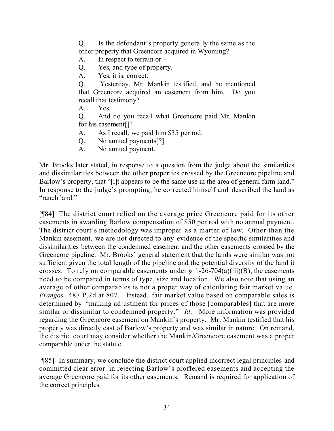Q. Is the defendant's property generally the same as the other property that Greencore acquired in Wyoming?

- A. In respect to terrain or  $-$
- Q. Yes, and type of property.
- A. Yes, it is, correct.

Q. Yesterday, Mr. Mankin testified, and he mentioned that Greencore acquired an easement from him. Do you recall that testimony?

- A. Yes.
- Q. And do you recall what Greencore paid Mr. Mankin for his easement[]?
- A. As I recall, we paid him \$35 per rod.
- Q. No annual payments[?]
- A. No annual payment.

Mr. Brooks later stated, in response to a question from the judge about the similarities and dissimilarities between the other properties crossed by the Greencore pipeline and Barlow's property, that "[i]t appears to be the same use in the area of general farm land." In response to the judge's prompting, he corrected himself and described the land as "ranch land"

[¶84] The district court relied on the average price Greencore paid for its other easements in awarding Barlow compensation of \$50 per rod with no annual payment. The district court's methodology was improper as a matter of law. Other than the Mankin easement, we are not directed to any evidence of the specific similarities and dissimilarities between the condemned easement and the other easements crossed by the Greencore pipeline. Mr. Brooks' general statement that the lands were similar was not sufficient given the total length of the pipeline and the potential diversity of the land it crosses. To rely on comparable easements under  $\S$  1-26-704(a)(iii)(B), the easements need to be compared in terms of type, size and location. We also note that using an average of other comparables is not a proper way of calculating fair market value. *Frangos,* 487 P.2d at 807. Instead, fair market value based on comparable sales is determined by "making adjustment for prices of those [comparables] that are more similar or dissimilar to condemned property." *Id*. More information was provided regarding the Greencore easement on Mankin's property. Mr. Mankin testified that his property was directly east of Barlow's property and was similar in nature. On remand, the district court may consider whether the Mankin/Greencore easement was a proper comparable under the statute.

[¶85] In summary, we conclude the district court applied incorrect legal principles and committed clear error in rejecting Barlow's proffered easements and accepting the average Greencore paid for its other easements. Remand is required for application of the correct principles.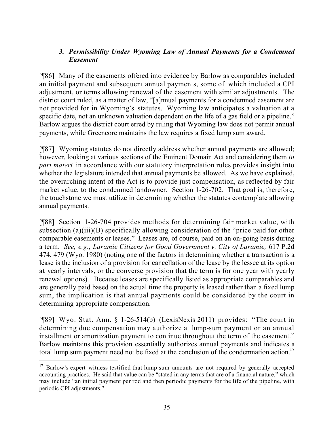# *3. Permissibility Under Wyoming Law of Annual Payments for a Condemned Easement*

[¶86] Many of the easements offered into evidence by Barlow as comparables included an initial payment and subsequent annual payments, some of which included a CPI adjustment, or terms allowing renewal of the easement with similar adjustments. The district court ruled, as a matter of law, "[a]nnual payments for a condemned easement are not provided for in Wyoming's statutes. Wyoming law anticipates a valuation at a specific date, not an unknown valuation dependent on the life of a gas field or a pipeline." Barlow argues the district court erred by ruling that Wyoming law does not permit annual payments, while Greencore maintains the law requires a fixed lump sum award.

[¶87] Wyoming statutes do not directly address whether annual payments are allowed; however, looking at various sections of the Eminent Domain Act and considering them *in pari materi* in accordance with our statutory interpretation rules provides insight into whether the legislature intended that annual payments be allowed. As we have explained, the overarching intent of the Act is to provide just compensation, as reflected by fair market value, to the condemned landowner. Section 1-26-702. That goal is, therefore, the touchstone we must utilize in determining whether the statutes contemplate allowing annual payments.

[¶88] Section 1-26-704 provides methods for determining fair market value, with subsection (a)(iii)(B) specifically allowing consideration of the "price paid for other comparable easements or leases." Leases are, of course, paid on an on-going basis during a term. *See, e.g*., *Laramie Citizens for Good Government v. City of Laramie,* 617 P.2d 474, 479 (Wyo. 1980) (noting one of the factors in determining whether a transaction is a lease is the inclusion of a provision for cancellation of the lease by the lessee at its option at yearly intervals, or the converse provision that the term is for one year with yearly renewal options). Because leases are specifically listed as appropriate comparables and are generally paid based on the actual time the property is leased rather than a fixed lump sum, the implication is that annual payments could be considered by the court in determining appropriate compensation.

[¶89] Wyo. Stat. Ann. § 1-26-514(b) (LexisNexis 2011) provides: "The court in determining due compensation may authorize a lump-sum payment or an annual installment or amortization payment to continue throughout the term of the easement." Barlow maintains this provision essentially authorizes annual payments and indicates a total lump sum payment need not be fixed at the conclusion of the condemnation action.<sup>17</sup>

 $\overline{a}$ 

<sup>&</sup>lt;sup>17</sup> Barlow's expert witness testified that lump sum amounts are not required by generally accepted accounting practices. He said that value can be "stated in any terms that are of a financial nature," which may include "an initial payment per rod and then periodic payments for the life of the pipeline, with periodic CPI adjustments."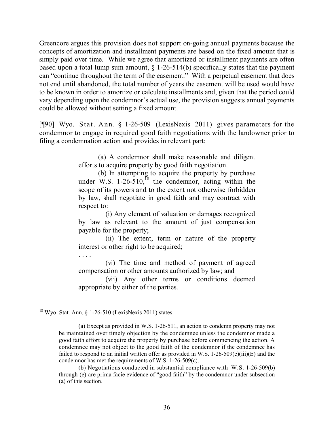Greencore argues this provision does not support on-going annual payments because the concepts of amortization and installment payments are based on the fixed amount that is simply paid over time. While we agree that amortized or installment payments are often based upon a total lump sum amount,  $\S$  1-26-514(b) specifically states that the payment can "continue throughout the term of the easement." With a perpetual easement that does not end until abandoned, the total number of years the easement will be used would have to be known in order to amortize or calculate installments and, given that the period could vary depending upon the condemnor's actual use, the provision suggests annual payments could be allowed without setting a fixed amount.

[¶90] Wyo. Stat. Ann. § 1-26-509 (LexisNexis 2011) gives parameters for the condemnor to engage in required good faith negotiations with the landowner prior to filing a condemnation action and provides in relevant part:

> (a) A condemnor shall make reasonable and diligent efforts to acquire property by good faith negotiation.

> (b) In attempting to acquire the property by purchase under W.S.  $1-26-510$ ,  $^{18}$  the condemnor, acting within the scope of its powers and to the extent not otherwise forbidden by law, shall negotiate in good faith and may contract with respect to:

> (i) Any element of valuation or damages recognized by law as relevant to the amount of just compensation payable for the property;

> (ii) The extent, term or nature of the property interest or other right to be acquired;

. . . .

(vi) The time and method of payment of agreed compensation or other amounts authorized by law; and

(vii) Any other terms or conditions deemed appropriate by either of the parties.

 $\overline{a}$  $18$  Wyo. Stat. Ann. § 1-26-510 (LexisNexis 2011) states:

<sup>(</sup>a) Except as provided in W.S. 1-26-511, an action to condemn property may not be maintained over timely objection by the condemnee unless the condemnor made a good faith effort to acquire the property by purchase before commencing the action. A condemnee may not object to the good faith of the condemnor if the condemnee has failed to respond to an initial written offer as provided in W.S. 1-26-509(c)(iii)(E) and the condemnor has met the requirements of W.S. 1-26-509(c).

<sup>(</sup>b) Negotiations conducted in substantial compliance with W.S. 1-26-509(b) through (e) are prima facie evidence of "good faith" by the condemnor under subsection (a) of this section.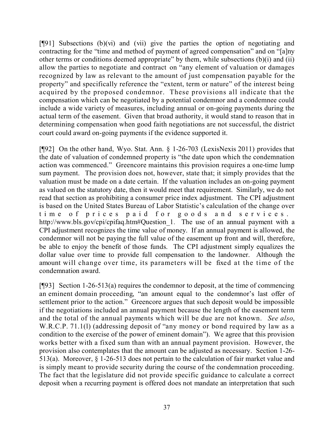$[$ [[91] Subsections (b)(vi) and (vii) give the parties the option of negotiating and contracting for the "time and method of payment of agreed compensation" and on "[a]ny other terms or conditions deemed appropriate" by them, while subsections (b)(i) and (ii) allow the parties to negotiate and contract on "any element of valuation or damages recognized by law as relevant to the amount of just compensation payable for the property" and specifically reference the "extent, term or nature" of the interest being acquired by the proposed condemnor. These provisions all indicate that the compensation which can be negotiated by a potential condemnor and a condemnee could include a wide variety of measures, including annual or on-going payments during the actual term of the easement. Given that broad authority, it would stand to reason that in determining compensation when good faith negotiations are not successful, the district court could award on-going payments if the evidence supported it.

[¶92] On the other hand, Wyo. Stat. Ann. § 1-26-703 (LexisNexis 2011) provides that the date of valuation of condemned property is "the date upon which the condemnation action was commenced." Greencore maintains this provision requires a one-time lump sum payment. The provision does not, however, state that; it simply provides that the valuation must be made on a date certain. If the valuation includes an on-going payment as valued on the statutory date, then it would meet that requirement. Similarly, we do not read that section as prohibiting a consumer price index adjustment. The CPI adjustment is based on the United States Bureau of Labor Statistic's calculation of the change over time of prices paid for goods and services. http://www.bls.gov/cpi/cpifaq.htm#Question 1. The use of an annual payment with a CPI adjustment recognizes the time value of money. If an annual payment is allowed, the condemnor will not be paying the full value of the easement up front and will, therefore, be able to enjoy the benefit of those funds. The CPI adjustment simply equalizes the dollar value over time to provide full compensation to the landowner. Although the amount will change over time, its parameters will be fixed at the time of the condemnation award.

 $[$ [[93] Section 1-26-513(a) requires the condemnor to deposit, at the time of commencing an eminent domain proceeding, "an amount equal to the condemnor's last offer of settlement prior to the action." Greencore argues that such deposit would be impossible if the negotiations included an annual payment because the length of the easement term and the total of the annual payments which will be due are not known. *See also*, W.R.C.P. 71.1(l) (addressing deposit of "any money or bond required by law as a condition to the exercise of the power of eminent domain"). We agree that this provision works better with a fixed sum than with an annual payment provision. However, the provision also contemplates that the amount can be adjusted as necessary. Section 1-26- 513(a). Moreover, § 1-26-513 does not pertain to the calculation of fair market value and is simply meant to provide security during the course of the condemnation proceeding. The fact that the legislature did not provide specific guidance to calculate a correct deposit when a recurring payment is offered does not mandate an interpretation that such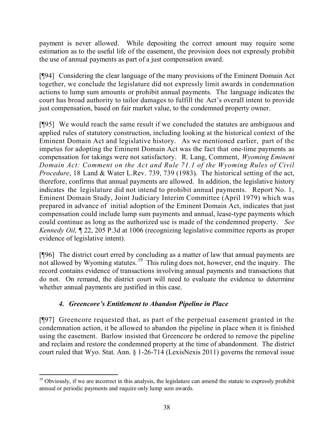payment is never allowed. While depositing the correct amount may require some estimation as to the useful life of the easement, the provision does not expressly prohibit the use of annual payments as part of a just compensation award.

[¶94] Considering the clear language of the many provisions of the Eminent Domain Act together, we conclude the legislature did not expressly limit awards in condemnation actions to lump sum amounts or prohibit annual payments. The language indicates the court has broad authority to tailor damages to fulfill the Act's overall intent to provide just compensation, based on fair market value, to the condemned property owner.

[¶95] We would reach the same result if we concluded the statutes are ambiguous and applied rules of statutory construction, including looking at the historical context of the Eminent Domain Act and legislative history. As we mentioned earlier, part of the impetus for adopting the Eminent Domain Act was the fact that one-time payments as compensation for takings were not satisfactory. R. Lang, Comment, *Wyoming Eminent Domain Act: Comment on the Act and Rule 71.1 of the Wyoming Rules of Civil Procedure*, 18 Land & Water L.Rev. 739, 739 (1983). The historical setting of the act, therefore, confirms that annual payments are allowed. In addition, the legislative history indicates the legislature did not intend to prohibit annual payments. Report No. 1, Eminent Domain Study, Joint Judiciary Interim Committee (April 1979) which was prepared in advance of initial adoption of the Eminent Domain Act, indicates that just compensation could include lump sum payments and annual, lease-type payments which could continue as long as the authorized use is made of the condemned property. *See Kennedy Oil,* ¶ 22, 205 P.3d at 1006 (recognizing legislative committee reports as proper evidence of legislative intent).

[¶96] The district court erred by concluding as a matter of law that annual payments are not allowed by Wyoming statutes.<sup>19</sup> This ruling does not, however, end the inquiry. The record contains evidence of transactions involving annual payments and transactions that do not. On remand, the district court will need to evaluate the evidence to determine whether annual payments are justified in this case.

# *4. Greencore's Entitlement to Abandon Pipeline in Place*

[¶97] Greencore requested that, as part of the perpetual easement granted in the condemnation action, it be allowed to abandon the pipeline in place when it is finished using the easement. Barlow insisted that Greencore be ordered to remove the pipeline and reclaim and restore the condemned property at the time of abandonment. The district court ruled that Wyo. Stat. Ann. § 1-26-714 (LexisNexis 2011) governs the removal issue

 $\overline{a}$ <sup>19</sup> Obviously, if we are incorrect in this analysis, the legislature can amend the statute to expressly prohibit annual or periodic payments and require only lump sum awards.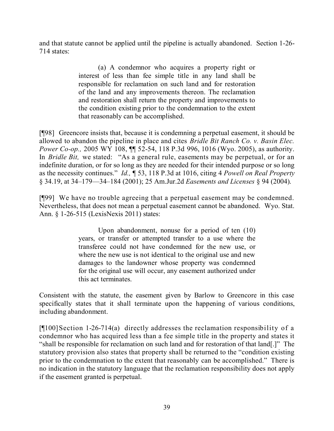and that statute cannot be applied until the pipeline is actually abandoned. Section 1-26- 714 states:

> (a) A condemnor who acquires a property right or interest of less than fee simple title in any land shall be responsible for reclamation on such land and for restoration of the land and any improvements thereon. The reclamation and restoration shall return the property and improvements to the condition existing prior to the condemnation to the extent that reasonably can be accomplished.

[¶98] Greencore insists that, because it is condemning a perpetual easement, it should be allowed to abandon the pipeline in place and cites *Bridle Bit Ranch Co. v. Basin Elec. Power Co-op.,* 2005 WY 108, ¶¶ 52-54, 118 P.3d 996, 1016 (Wyo. 2005), as authority. In *Bridle Bit*, we stated: "As a general rule, easements may be perpetual, or for an indefinite duration, or for so long as they are needed for their intended purpose or so long as the necessity continues." *Id.,* ¶ 53, 118 P.3d at 1016, citing 4 *Powell on Real Property* § 34.19, at 34–179—34–184 (2001); 25 Am.Jur.2d *Easements and Licenses* § 94 (2004).

[¶99] We have no trouble agreeing that a perpetual easement may be condemned. Nevertheless, that does not mean a perpetual easement cannot be abandoned. Wyo. Stat. Ann. § 1-26-515 (LexisNexis 2011) states:

> Upon abandonment, nonuse for a period of ten (10) years, or transfer or attempted transfer to a use where the transferee could not have condemned for the new use, or where the new use is not identical to the original use and new damages to the landowner whose property was condemned for the original use will occur, any easement authorized under this act terminates.

Consistent with the statute, the easement given by Barlow to Greencore in this case specifically states that it shall terminate upon the happening of various conditions, including abandonment.

 $[$ [[100]Section 1-26-714(a) directly addresses the reclamation responsibility of a condemnor who has acquired less than a fee simple title in the property and states it "shall be responsible for reclamation on such land and for restoration of that land[.]" The statutory provision also states that property shall be returned to the "condition existing prior to the condemnation to the extent that reasonably can be accomplished." There is no indication in the statutory language that the reclamation responsibility does not apply if the easement granted is perpetual.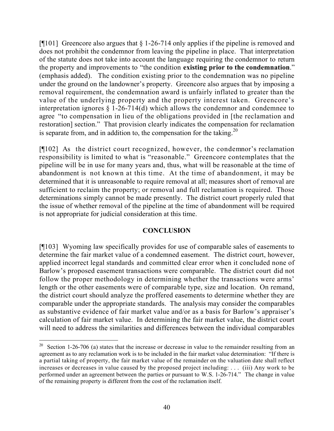[¶101] Greencore also argues that § 1-26-714 only applies if the pipeline is removed and does not prohibit the condemnor from leaving the pipeline in place. That interpretation of the statute does not take into account the language requiring the condemnor to return the property and improvements to "the condition **existing prior to the condemnation**." (emphasis added). The condition existing prior to the condemnation was no pipeline under the ground on the landowner's property. Greencore also argues that by imposing a removal requirement, the condemnation award is unfairly inflated to greater than the value of the underlying property and the property interest taken. Greencore's interpretation ignores § 1-26-714(d) which allows the condemnor and condemnee to agree "to compensation in lieu of the obligations provided in [the reclamation and restoration] section." That provision clearly indicates the compensation for reclamation is separate from, and in addition to, the compensation for the taking. $20$ 

[¶102] As the district court recognized, however, the condemnor's reclamation responsibility is limited to what is "reasonable." Greencore contemplates that the pipeline will be in use for many years and, thus, what will be reasonable at the time of abandonment is not known at this time. At the time of abandonment, it may be determined that it is unreasonable to require removal at all; measures short of removal are sufficient to reclaim the property; or removal and full reclamation is required. Those determinations simply cannot be made presently. The district court properly ruled that the issue of whether removal of the pipeline at the time of abandonment will be required is not appropriate for judicial consideration at this time.

## **CONCLUSION**

[¶103] Wyoming law specifically provides for use of comparable sales of easements to determine the fair market value of a condemned easement. The district court, however, applied incorrect legal standards and committed clear error when it concluded none of Barlow's proposed easement transactions were comparable. The district court did not follow the proper methodology in determining whether the transactions were arms' length or the other easements were of comparable type, size and location. On remand, the district court should analyze the proffered easements to determine whether they are comparable under the appropriate standards. The analysis may consider the comparables as substantive evidence of fair market value and/or as a basis for Barlow's appraiser's calculation of fair market value. In determining the fair market value, the district court will need to address the similarities and differences between the individual comparables

 $\overline{a}$ 

<sup>&</sup>lt;sup>20</sup> Section 1-26-706 (a) states that the increase or decrease in value to the remainder resulting from an agreement as to any reclamation work is to be included in the fair market value determination: "If there is a partial taking of property, the fair market value of the remainder on the valuation date shall reflect increases or decreases in value caused by the proposed project including: . . . (iii) Any work to be performed under an agreement between the parties or pursuant to W.S. 1-26-714." The change in value of the remaining property is different from the cost of the reclamation itself.